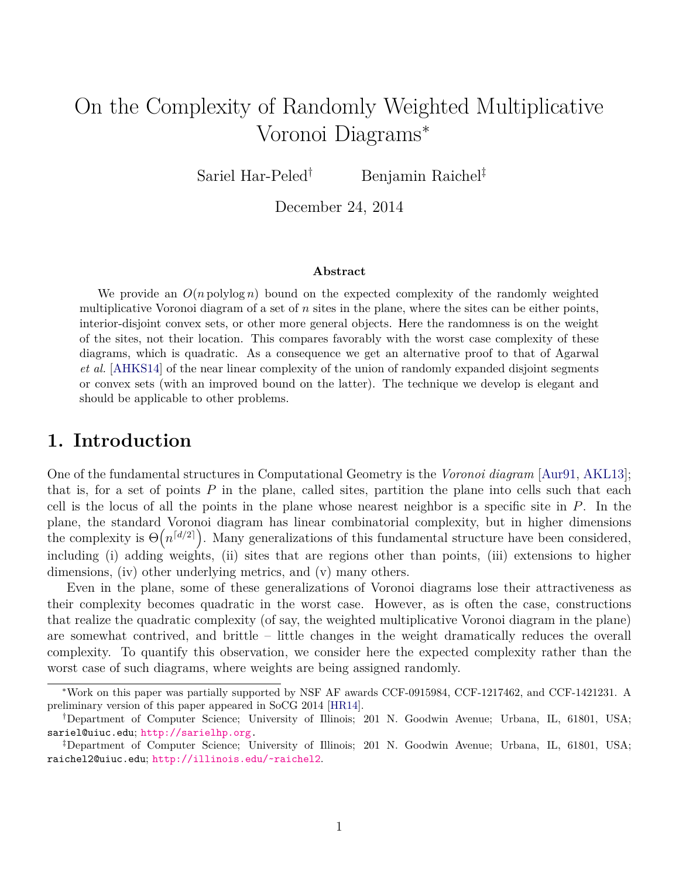# On the Complexity of Randomly Weighted Multiplicative Voronoi Diagrams*<sup>∗</sup>*

Sariel Har-Peled*†* Benjamin Raichel*‡*

December 24, 2014

#### **Abstract**

We provide an  $O(n \text{ polylog } n)$  bound on the expected complexity of the randomly weighted multiplicative Voronoi diagram of a set of *n* sites in the plane, where the sites can be either points, interior-disjoint convex sets, or other more general objects. Here the randomness is on the weight of the sites, not their location. This compares favorably with the worst case complexity of these diagrams, which is quadratic. As a consequence we get an alternative proof to that of Agarwal *et al.* [[AHKS14\]](#page-16-0) of the near linear complexity of the union of randomly expanded disjoint segments or convex sets (with an improved bound on the latter). The technique we develop is elegant and should be applicable to other problems.

### **1. Introduction**

One of the fundamental structures in Computational Geometry is the *Voronoi diagram* [\[Aur91,](#page-16-1) [AKL13\]](#page-16-2); that is, for a set of points *P* in the plane, called sites, partition the plane into cells such that each cell is the locus of all the points in the plane whose nearest neighbor is a specific site in *P*. In the plane, the standard Voronoi diagram has linear combinatorial complexity, but in higher dimensions the complexity is  $\Theta(n^{[d/2]})$ . Many generalizations of this fundamental structure have been considered, including (i) adding weights, (ii) sites that are regions other than points, (iii) extensions to higher dimensions, (iv) other underlying metrics, and (v) many others.

Even in the plane, some of these generalizations of Voronoi diagrams lose their attractiveness as their complexity becomes quadratic in the worst case. However, as is often the case, constructions that realize the quadratic complexity (of say, the weighted multiplicative Voronoi diagram in the plane) are somewhat contrived, and brittle – little changes in the weight dramatically reduces the overall complexity. To quantify this observation, we consider here the expected complexity rather than the worst case of such diagrams, where weights are being assigned randomly.

*<sup>∗</sup>*Work on this paper was partially supported by NSF AF awards CCF-0915984, CCF-1217462, and CCF-1421231. A preliminary version of this paper appeared in SoCG 2014 [[HR14\]](#page-17-0).

*<sup>†</sup>*Department of Computer Science; University of Illinois; 201 N. Goodwin Avenue; Urbana, IL, 61801, USA; sariel@uiuc.edu; <http://sarielhp.org>.

*<sup>‡</sup>*Department of Computer Science; University of Illinois; 201 N. Goodwin Avenue; Urbana, IL, 61801, USA; raichel2@uiuc.edu; <http://illinois.edu/~raichel2>.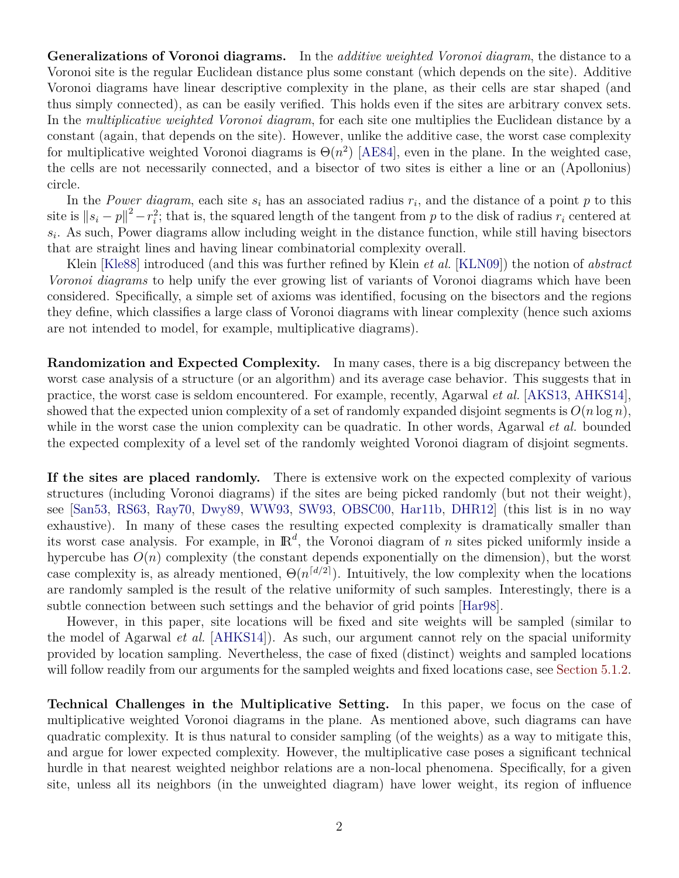**Generalizations of Voronoi diagrams.** In the *additive weighted Voronoi diagram*, the distance to a Voronoi site is the regular Euclidean distance plus some constant (which depends on the site). Additive Voronoi diagrams have linear descriptive complexity in the plane, as their cells are star shaped (and thus simply connected), as can be easily verified. This holds even if the sites are arbitrary convex sets. In the *multiplicative weighted Voronoi diagram*, for each site one multiplies the Euclidean distance by a constant (again, that depends on the site). However, unlike the additive case, the worst case complexity for multiplicative weighted Voronoi diagrams is  $\Theta(n^2)$  [\[AE84](#page-16-3)], even in the plane. In the weighted case, the cells are not necessarily connected, and a bisector of two sites is either a line or an (Apollonius) circle.

In the *Power diagram*, each site  $s_i$  has an associated radius  $r_i$ , and the distance of a point  $p$  to this site is  $||s_i - p||^2 - r_i^2$ ; that is, the squared length of the tangent from *p* to the disk of radius  $r_i$  centered at  $s_i$ . As such, Power diagrams allow including weight in the distance function, while still having bisectors that are straight lines and having linear combinatorial complexity overall.

Klein [[Kle88](#page-17-1)] introduced (and this was further refined by Klein *et al.* [[KLN09\]](#page-17-2)) the notion of *abstract Voronoi diagrams* to help unify the ever growing list of variants of Voronoi diagrams which have been considered. Specifically, a simple set of axioms was identified, focusing on the bisectors and the regions they define, which classifies a large class of Voronoi diagrams with linear complexity (hence such axioms are not intended to model, for example, multiplicative diagrams).

**Randomization and Expected Complexity.** In many cases, there is a big discrepancy between the worst case analysis of a structure (or an algorithm) and its average case behavior. This suggests that in practice, the worst case is seldom encountered. For example, recently, Agarwal *et al.* [[AKS13,](#page-16-4) [AHKS14\]](#page-16-0), showed that the expected union complexity of a set of randomly expanded disjoint segments is  $O(n \log n)$ , while in the worst case the union complexity can be quadratic. In other words, Agarwal *et al.* bounded the expected complexity of a level set of the randomly weighted Voronoi diagram of disjoint segments.

**If the sites are placed randomly.** There is extensive work on the expected complexity of various structures (including Voronoi diagrams) if the sites are being picked randomly (but not their weight), see [\[San53,](#page-17-3) [RS63](#page-17-4), [Ray70,](#page-17-5) [Dwy89,](#page-16-5) [WW93](#page-17-6), [SW93,](#page-17-7) [OBSC00,](#page-17-8) [Har11b,](#page-17-9) [DHR12](#page-16-6)] (this list is in no way exhaustive). In many of these cases the resulting expected complexity is dramatically smaller than its worst case analysis. For example, in IR*<sup>d</sup>* , the Voronoi diagram of *n* sites picked uniformly inside a hypercube has  $O(n)$  complexity (the constant depends exponentially on the dimension), but the worst case complexity is, as already mentioned,  $\Theta(n^{\lceil d/2 \rceil})$ . Intuitively, the low complexity when the locations are randomly sampled is the result of the relative uniformity of such samples. Interestingly, there is a subtle connection between such settings and the behavior of grid points [[Har98\]](#page-16-7).

However, in this paper, site locations will be fixed and site weights will be sampled (similar to the model of Agarwal *et al.* [[AHKS14\]](#page-16-0)). As such, our argument cannot rely on the spacial uniformity provided by location sampling. Nevertheless, the case of fixed (distinct) weights and sampled locations will follow readily from our arguments for the sampled weights and fixed locations case, see [Section 5.1.2](#page-14-0).

**Technical Challenges in the Multiplicative Setting.** In this paper, we focus on the case of multiplicative weighted Voronoi diagrams in the plane. As mentioned above, such diagrams can have quadratic complexity. It is thus natural to consider sampling (of the weights) as a way to mitigate this, and argue for lower expected complexity. However, the multiplicative case poses a significant technical hurdle in that nearest weighted neighbor relations are a non-local phenomena. Specifically, for a given site, unless all its neighbors (in the unweighted diagram) have lower weight, its region of influence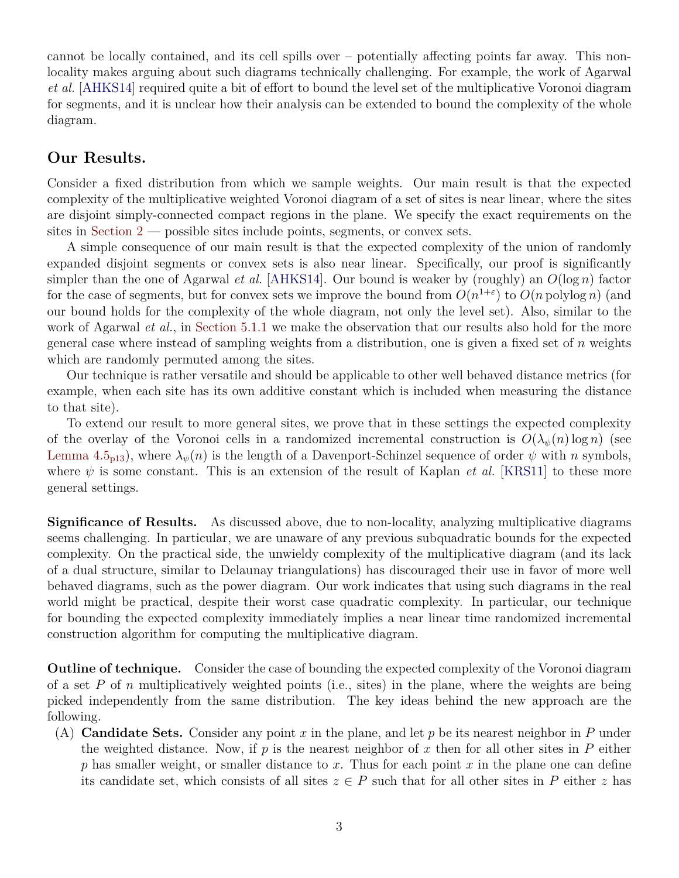cannot be locally contained, and its cell spills over – potentially affecting points far away. This nonlocality makes arguing about such diagrams technically challenging. For example, the work of Agarwal *et al.* [\[AHKS14](#page-16-0)] required quite a bit of effort to bound the level set of the multiplicative Voronoi diagram for segments, and it is unclear how their analysis can be extended to bound the complexity of the whole diagram.

### **Our Results.**

Consider a fixed distribution from which we sample weights. Our main result is that the expected complexity of the multiplicative weighted Voronoi diagram of a set of sites is near linear, where the sites are disjoint simply-connected compact regions in the plane. We specify the exact requirements on the sites in [Section 2](#page-3-0) — possible sites include points, segments, or convex sets.

A simple consequence of our main result is that the expected complexity of the union of randomly expanded disjoint segments or convex sets is also near linear. Specifically, our proof is significantly simpler than the one of Agarwal *et al.* [[AHKS14\]](#page-16-0). Our bound is weaker by (roughly) an *O*(log *n*) factor for the case of segments, but for convex sets we improve the bound from  $O(n^{1+\epsilon})$  to  $O(n \text{ polylog } n)$  (and our bound holds for the complexity of the whole diagram, not only the level set). Also, similar to the work of Agarwal *et al.*, in [Section 5.1.1](#page-14-1) we make the observation that our results also hold for the more general case where instead of sampling weights from a distribution, one is given a fixed set of *n* weights which are randomly permuted among the sites.

Our technique is rather versatile and should be applicable to other well behaved distance metrics (for example, when each site has its own additive constant which is included when measuring the distance to that site).

To extend our result to more general sites, we prove that in these settings the expected complexity of the overlay of the Voronoi cells in a randomized incremental construction is  $O(\lambda_{\psi}(n) \log n)$  (see [Lemma 4.5](#page-12-0)<sub>p13</sub>), where  $\lambda_{\psi}(n)$  is the length of a Davenport-Schinzel sequence of order  $\psi$  with *n* symbols, where  $\psi$  is some constant. This is an extension of the result of Kaplan *et al.* [[KRS11](#page-17-10)] to these more general settings.

**Significance of Results.** As discussed above, due to non-locality, analyzing multiplicative diagrams seems challenging. In particular, we are unaware of any previous subquadratic bounds for the expected complexity. On the practical side, the unwieldy complexity of the multiplicative diagram (and its lack of a dual structure, similar to Delaunay triangulations) has discouraged their use in favor of more well behaved diagrams, such as the power diagram. Our work indicates that using such diagrams in the real world might be practical, despite their worst case quadratic complexity. In particular, our technique for bounding the expected complexity immediately implies a near linear time randomized incremental construction algorithm for computing the multiplicative diagram.

**Outline of technique.** Consider the case of bounding the expected complexity of the Voronoi diagram of a set *P* of *n* multiplicatively weighted points (i.e., sites) in the plane, where the weights are being picked independently from the same distribution. The key ideas behind the new approach are the following.

(A) **Candidate Sets.** Consider any point *x* in the plane, and let *p* be its nearest neighbor in *P* under the weighted distance. Now, if  $p$  is the nearest neighbor of  $x$  then for all other sites in  $P$  either *p* has smaller weight, or smaller distance to *x*. Thus for each point *x* in the plane one can define its candidate set, which consists of all sites  $z \in P$  such that for all other sites in P either *z* has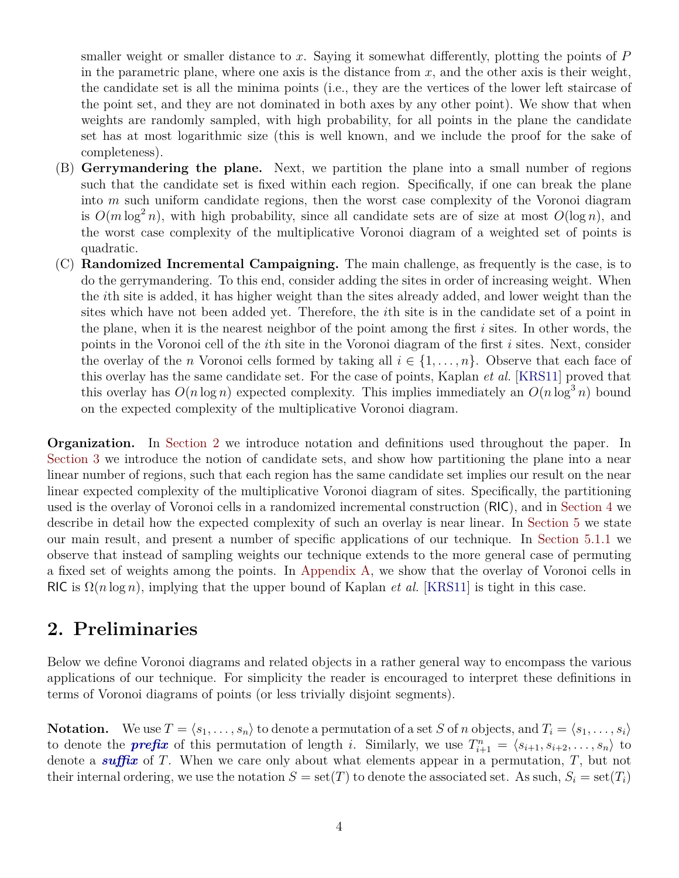smaller weight or smaller distance to *x*. Saying it somewhat differently, plotting the points of *P* in the parametric plane, where one axis is the distance from  $x$ , and the other axis is their weight, the candidate set is all the minima points (i.e., they are the vertices of the lower left staircase of the point set, and they are not dominated in both axes by any other point). We show that when weights are randomly sampled, with high probability, for all points in the plane the candidate set has at most logarithmic size (this is well known, and we include the proof for the sake of completeness).

- (B) **Gerrymandering the plane.** Next, we partition the plane into a small number of regions such that the candidate set is fixed within each region. Specifically, if one can break the plane into *m* such uniform candidate regions, then the worst case complexity of the Voronoi diagram is  $O(m \log^2 n)$ , with high probability, since all candidate sets are of size at most  $O(\log n)$ , and the worst case complexity of the multiplicative Voronoi diagram of a weighted set of points is quadratic.
- (C) **Randomized Incremental Campaigning.** The main challenge, as frequently is the case, is to do the gerrymandering. To this end, consider adding the sites in order of increasing weight. When the *i*th site is added, it has higher weight than the sites already added, and lower weight than the sites which have not been added yet. Therefore, the *i*th site is in the candidate set of a point in the plane, when it is the nearest neighbor of the point among the first *i* sites. In other words, the points in the Voronoi cell of the *i*th site in the Voronoi diagram of the first *i* sites. Next, consider the overlay of the *n* Voronoi cells formed by taking all  $i \in \{1, \ldots, n\}$ . Observe that each face of this overlay has the same candidate set. For the case of points, Kaplan *et al.* [[KRS11\]](#page-17-10) proved that this overlay has  $O(n \log n)$  expected complexity. This implies immediately an  $O(n \log^3 n)$  bound on the expected complexity of the multiplicative Voronoi diagram.

**Organization.** In [Section 2](#page-3-0) we introduce notation and definitions used throughout the paper. In [Section 3](#page-5-0) we introduce the notion of candidate sets, and show how partitioning the plane into a near linear number of regions, such that each region has the same candidate set implies our result on the near linear expected complexity of the multiplicative Voronoi diagram of sites. Specifically, the partitioning used is the overlay of Voronoi cells in a randomized incremental construction (RIC), and in [Section 4](#page-10-0) we describe in detail how the expected complexity of such an overlay is near linear. In [Section 5](#page-13-0) we state our main result, and present a number of specific applications of our technique. In [Section 5.1.1](#page-14-1) we observe that instead of sampling weights our technique extends to the more general case of permuting a fixed set of weights among the points. In [Appendix A](#page-17-11), we show that the overlay of Voronoi cells in RIC is  $\Omega(n \log n)$ , implying that the upper bound of Kaplan *et al.* [\[KRS11](#page-17-10)] is tight in this case.

### <span id="page-3-0"></span>**2. Preliminaries**

Below we define Voronoi diagrams and related objects in a rather general way to encompass the various applications of our technique. For simplicity the reader is encouraged to interpret these definitions in terms of Voronoi diagrams of points (or less trivially disjoint segments).

**Notation.** We use  $T = \langle s_1, \ldots, s_n \rangle$  to denote a permutation of a set *S* of *n* objects, and  $T_i = \langle s_1, \ldots, s_i \rangle$ to denote the *prefix* of this permutation of length *i*. Similarly, we use  $T_{i+1}^n = \langle s_{i+1}, s_{i+2}, \ldots, s_n \rangle$  to denote a *suffix* of *T*. When we care only about what elements appear in a permutation, *T*, but not their internal ordering, we use the notation  $S = set(T)$  to denote the associated set. As such,  $S_i = set(T_i)$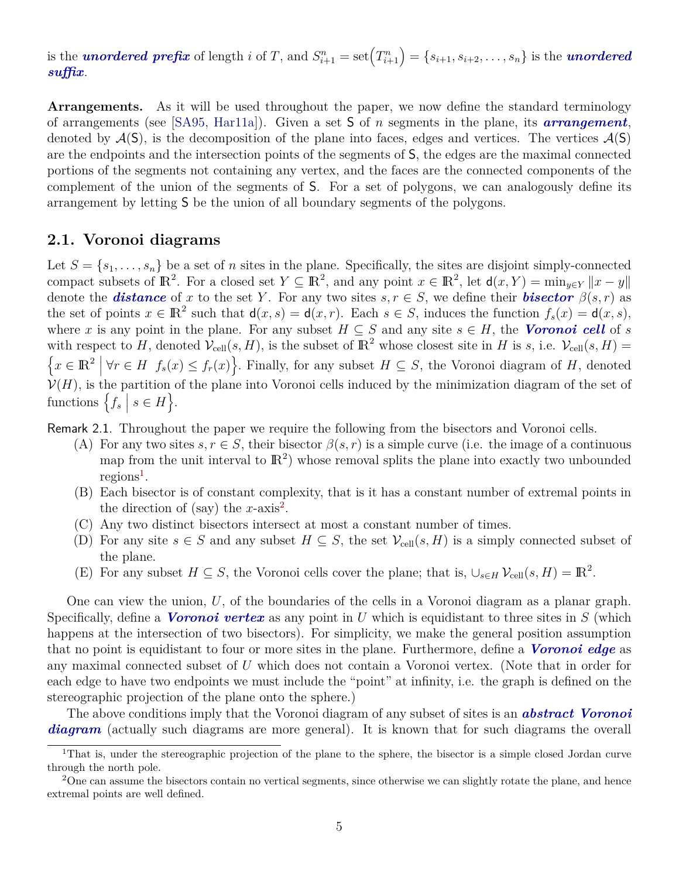is the *unordered prefix* of length *i* of T, and  $S_{i+1}^n = \text{set}(T_{i+1}^n) = \{s_{i+1}, s_{i+2}, \ldots, s_n\}$  is the *unordered suffix*.

**Arrangements.** As it will be used throughout the paper, we now define the standard terminology of arrangements (see [[SA95,](#page-17-12) [Har11a\]](#page-16-8)). Given a set S of *n* segments in the plane, its *arrangement*, denoted by  $\mathcal{A}(S)$ , is the decomposition of the plane into faces, edges and vertices. The vertices  $\mathcal{A}(S)$ are the endpoints and the intersection points of the segments of S, the edges are the maximal connected portions of the segments not containing any vertex, and the faces are the connected components of the complement of the union of the segments of S. For a set of polygons, we can analogously define its arrangement by letting S be the union of all boundary segments of the polygons.

### **2.1. Voronoi diagrams**

Let  $S = \{s_1, \ldots, s_n\}$  be a set of *n* sites in the plane. Specifically, the sites are disjoint simply-connected compact subsets of  $\mathbb{R}^2$ . For a closed set  $Y \subseteq \mathbb{R}^2$ , and any point  $x \in \mathbb{R}^2$ , let  $d(x, Y) = \min_{y \in Y} ||x - y||$ denote the **distance** of *x* to the set *Y*. For any two sites  $s, r \in S$ , we define their **bisector**  $\beta(s,r)$  as the set of points  $x \in \mathbb{R}^2$  such that  $d(x, s) = d(x, r)$ . Each  $s \in S$ , induces the function  $f_s(x) = d(x, s)$ , where *x* is any point in the plane. For any subset  $H \subseteq S$  and any site  $s \in H$ , the *Voronoi cell* of *s* with respect to *H*, denoted  $V_{cell}(s, H)$ , is the subset of  $\mathbb{R}^2$  whose closest site in *H* is *s*, i.e.  $V_{cell}(s, H)$  =  $\{x \in \mathbb{R}^2 \mid \forall r \in H \mid f_s(x) \leq f_r(x)\}$ . Finally, for any subset  $H \subseteq S$ , the Voronoi diagram of *H*, denoted  $V(H)$ , is the partition of the plane into Voronoi cells induced by the minimization diagram of the set of functions  $\left\{ f_s \mid s \in H \right\}$ .

<span id="page-4-2"></span>Remark 2.1. Throughout the paper we require the following from the bisectors and Voronoi cells.

- (A) For any two sites  $s, r \in S$ , their bisector  $\beta(s, r)$  is a simple curve (i.e. the image of a continuous map from the unit interval to  $\mathbb{R}^2$ ) whose removal splits the plane into exactly two unbounded  $regions<sup>1</sup>$  $regions<sup>1</sup>$  $regions<sup>1</sup>$ .
- (B) Each bisector is of constant complexity, that is it has a constant number of extremal points in the direction of (say) the  $x$ -axis<sup>[2](#page-4-1)</sup>.
- (C) Any two distinct bisectors intersect at most a constant number of times.
- (D) For any site  $s \in S$  and any subset  $H \subseteq S$ , the set  $V_{cell}(s, H)$  is a simply connected subset of the plane.
- (E) For any subset  $H \subseteq S$ , the Voronoi cells cover the plane; that is,  $\bigcup_{s \in H} \mathcal{V}_{cell}(s, H) = \mathbb{R}^2$ .

One can view the union, *U*, of the boundaries of the cells in a Voronoi diagram as a planar graph. Specifically, define a *Voronoi vertex* as any point in *U* which is equidistant to three sites in *S* (which happens at the intersection of two bisectors). For simplicity, we make the general position assumption that no point is equidistant to four or more sites in the plane. Furthermore, define a *Voronoi edge* as any maximal connected subset of *U* which does not contain a Voronoi vertex. (Note that in order for each edge to have two endpoints we must include the "point" at infinity, i.e. the graph is defined on the stereographic projection of the plane onto the sphere.)

The above conditions imply that the Voronoi diagram of any subset of sites is an *abstract Voronoi diagram* (actually such diagrams are more general). It is known that for such diagrams the overall

<span id="page-4-0"></span><sup>&</sup>lt;sup>1</sup>That is, under the stereographic projection of the plane to the sphere, the bisector is a simple closed Jordan curve through the north pole.

<span id="page-4-1"></span><sup>&</sup>lt;sup>2</sup>One can assume the bisectors contain no vertical segments, since otherwise we can slightly rotate the plane, and hence extremal points are well defined.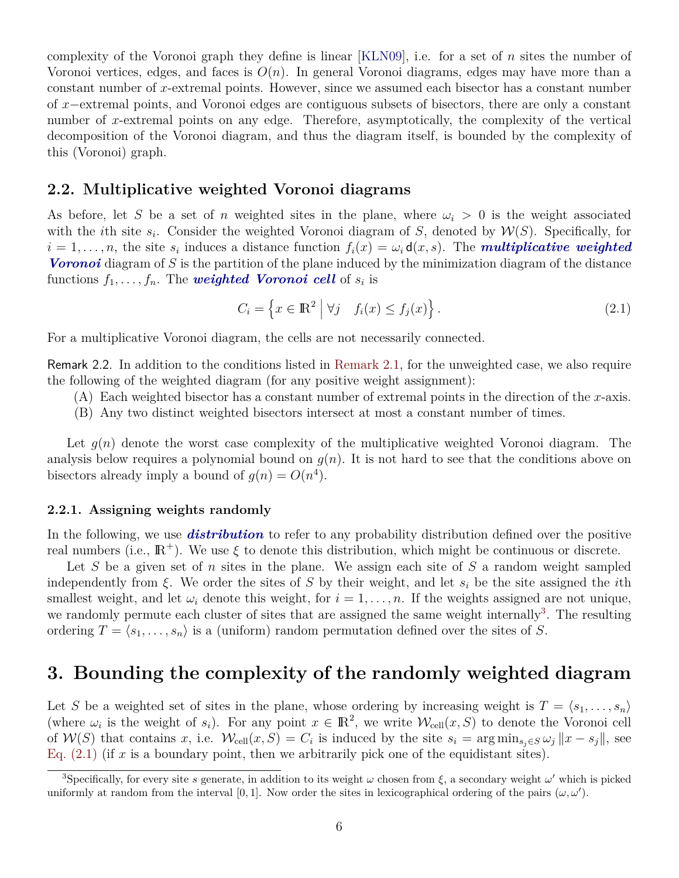complexity of the Voronoi graph they define is linear [[KLN09\]](#page-17-2), i.e. for a set of *n* sites the number of Voronoi vertices, edges, and faces is  $O(n)$ . In general Voronoi diagrams, edges may have more than a constant number of *x*-extremal points. However, since we assumed each bisector has a constant number of *x−*extremal points, and Voronoi edges are contiguous subsets of bisectors, there are only a constant number of *x*-extremal points on any edge. Therefore, asymptotically, the complexity of the vertical decomposition of the Voronoi diagram, and thus the diagram itself, is bounded by the complexity of this (Voronoi) graph.

#### **2.2. Multiplicative weighted Voronoi diagrams**

As before, let *S* be a set of *n* weighted sites in the plane, where  $\omega_i > 0$  is the weight associated with the *i*th site  $s_i$ . Consider the weighted Voronoi diagram of *S*, denoted by  $W(S)$ . Specifically, for  $i = 1, \ldots, n$ , the site  $s_i$  induces a distance function  $f_i(x) = \omega_i \mathsf{d}(x, s)$ . The *multiplicative weighted Voronoi* diagram of *S* is the partition of the plane induced by the minimization diagram of the distance functions  $f_1, \ldots, f_n$ . The *weighted Voronoi cell* of  $s_i$  is

<span id="page-5-2"></span>
$$
C_i = \left\{ x \in \mathbb{R}^2 \mid \forall j \quad f_i(x) \le f_j(x) \right\}.
$$
 (2.1)

<span id="page-5-3"></span>For a multiplicative Voronoi diagram, the cells are not necessarily connected.

Remark 2.2. In addition to the conditions listed in [Remark 2.1](#page-4-2), for the unweighted case, we also require the following of the weighted diagram (for any positive weight assignment):

- (A) Each weighted bisector has a constant number of extremal points in the direction of the *x*-axis.
- (B) Any two distinct weighted bisectors intersect at most a constant number of times.

Let  $q(n)$  denote the worst case complexity of the multiplicative weighted Voronoi diagram. The analysis below requires a polynomial bound on  $g(n)$ . It is not hard to see that the conditions above on bisectors already imply a bound of  $g(n) = O(n^4)$ .

#### **2.2.1. Assigning weights randomly**

In the following, we use *distribution* to refer to any probability distribution defined over the positive real numbers (i.e.,  $\mathbb{R}^+$ ). We use  $\xi$  to denote this distribution, which might be continuous or discrete.

Let *S* be a given set of *n* sites in the plane. We assign each site of *S* a random weight sampled independently from *ξ*. We order the sites of *S* by their weight, and let *s<sup>i</sup>* be the site assigned the *i*th smallest weight, and let  $\omega_i$  denote this weight, for  $i = 1, \ldots, n$ . If the weights assigned are not unique, we randomly permute each cluster of sites that are assigned the same weight internally<sup>[3](#page-5-1)</sup>. The resulting ordering  $T = \langle s_1, \ldots, s_n \rangle$  is a (uniform) random permutation defined over the sites of *S*.

### <span id="page-5-0"></span>**3. Bounding the complexity of the randomly weighted diagram**

Let *S* be a weighted set of sites in the plane, whose ordering by increasing weight is  $T = \langle s_1, \ldots, s_n \rangle$ (where  $\omega_i$  is the weight of  $s_i$ ). For any point  $x \in \mathbb{R}^2$ , we write  $\mathcal{W}_{cell}(x, S)$  to denote the Voronoi cell of  $W(S)$  that contains x, i.e.  $W_{cell}(x, S) = C_i$  is induced by the site  $s_i = \arg \min_{s_j \in S} \omega_j ||x - s_j||$ , see Eq.  $(2.1)$  (if x is a boundary point, then we arbitrarily pick one of the equidistant sites).

<span id="page-5-1"></span><sup>&</sup>lt;sup>3</sup>Specifically, for every site *s* generate, in addition to its weight  $\omega$  chosen from  $\xi$ , a secondary weight  $\omega'$  which is picked uniformly at random from the interval [0,1]. Now order the sites in lexicographical ordering of the pairs  $(\omega, \omega')$ .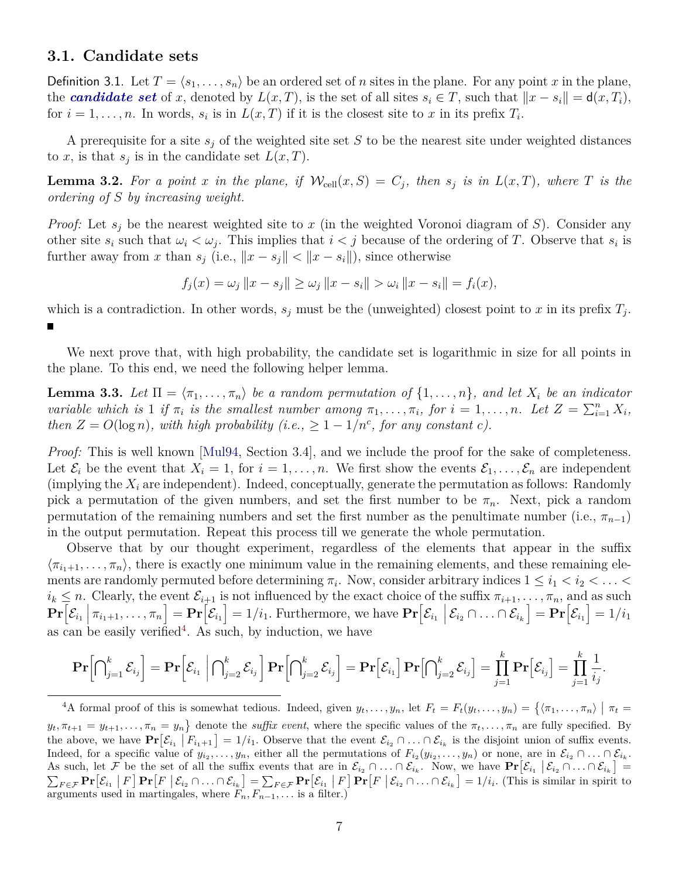#### **3.1. Candidate sets**

Definition 3.1. Let  $T = \langle s_1, \ldots, s_n \rangle$  be an ordered set of *n* sites in the plane. For any point *x* in the plane, the *candidate set* of *x*, denoted by  $L(x,T)$ , is the set of all sites  $s_i \in T$ , such that  $||x - s_i|| = d(x,T_i)$ , for  $i = 1, \ldots, n$ . In words,  $s_i$  is in  $L(x, T)$  if it is the closest site to *x* in its prefix  $T_i$ .

A prerequisite for a site *s<sup>j</sup>* of the weighted site set *S* to be the nearest site under weighted distances to *x*, is that  $s_j$  is in the candidate set  $L(x, T)$ .

<span id="page-6-2"></span>**Lemma 3.2.** For a point *x* in the plane, if  $W_{cell}(x, S) = C_j$ , then  $s_j$  is in  $L(x, T)$ , where *T* is the *ordering of S by increasing weight.*

*Proof:* Let *s<sup>j</sup>* be the nearest weighted site to *x* (in the weighted Voronoi diagram of *S*). Consider any other site  $s_i$  such that  $\omega_i < \omega_j$ . This implies that  $i < j$  because of the ordering of *T*. Observe that  $s_i$  is further away from *x* than  $s_j$  (i.e.,  $||x - s_j|| < ||x - s_i||$ ), since otherwise

$$
f_j(x) = \omega_j \|x - s_j\| \ge \omega_j \|x - s_i\| > \omega_i \|x - s_i\| = f_i(x),
$$

which is a contradiction. In other words,  $s_j$  must be the (unweighted) closest point to *x* in its prefix  $T_j$ . П

We next prove that, with high probability, the candidate set is logarithmic in size for all points in the plane. To this end, we need the following helper lemma.

<span id="page-6-1"></span>**Lemma 3.3.** Let  $\Pi = \langle \pi_1, \ldots, \pi_n \rangle$  be a random permutation of  $\{1, \ldots, n\}$ , and let  $X_i$  be an indicator variable which is 1 if  $\pi_i$  is the smallest number among  $\pi_1, \ldots, \pi_i$ , for  $i = 1, \ldots, n$ . Let  $Z = \sum_{i=1}^n X_i$ , *then*  $Z = O(\log n)$ , with high probability (i.e.,  $\geq 1 - 1/n^c$ , for any constant c).

*Proof:* This is well known [[Mul94](#page-17-13), Section 3.4], and we include the proof for the sake of completeness. Let  $\mathcal{E}_i$  be the event that  $X_i = 1$ , for  $i = 1, \ldots, n$ . We first show the events  $\mathcal{E}_1, \ldots, \mathcal{E}_n$  are independent (implying the  $X_i$  are independent). Indeed, conceptually, generate the permutation as follows: Randomly pick a permutation of the given numbers, and set the first number to be  $\pi_n$ . Next, pick a random permutation of the remaining numbers and set the first number as the penultimate number (i.e.,  $\pi_{n-1}$ ) in the output permutation. Repeat this process till we generate the whole permutation.

Observe that by our thought experiment, regardless of the elements that appear in the suffix  $\langle \pi_{i_1+1}, \ldots, \pi_n \rangle$ , there is exactly one minimum value in the remaining elements, and these remaining elements are randomly permuted before determining  $\pi_i$ . Now, consider arbitrary indices  $1 \leq i_1 < i_2 < \ldots <$  $i_k \leq n$ . Clearly, the event  $\mathcal{E}_{i+1}$  is not influenced by the exact choice of the suffix  $\pi_{i+1}, \ldots, \pi_n$ , and as such  $\mathbf{Pr}\Big[\mathcal{E}_{i_1} \Big|\, \pi_{i_1+1},\ldots,\pi_n\Big] = \mathbf{Pr}\Big[\mathcal{E}_{i_1}\Big] = 1/i_1.$  Furthermore, we have  $\mathbf{Pr}\Big[\mathcal{E}_{i_1} \Big|\, \mathcal{E}_{i_2} \cap \ldots \cap \mathcal{E}_{i_k}\Big] = \mathbf{Pr}\Big[\mathcal{E}_{i_1}\Big] = 1/i_1$ as can be easily verified<sup>[4](#page-6-0)</sup>. As such, by induction, we have

$$
\mathbf{Pr}\Bigl[\bigcap\nolimits_{j=1}^k\mathcal{E}_{i_j}\Bigr]=\mathbf{Pr}\Bigl[\mathcal{E}_{i_1}\ \Bigl|\bigcap\nolimits_{j=2}^k\mathcal{E}_{i_j}\Bigr]\mathbf{Pr}\Bigl[\bigcap\nolimits_{j=2}^k\mathcal{E}_{i_j}\Bigr]=\mathbf{Pr}\Bigl[\mathcal{E}_{i_1}\Bigr]\mathbf{Pr}\Bigl[\bigcap\nolimits_{j=2}^k\mathcal{E}_{i_j}\Bigr]=\prod_{j=1}^k\mathbf{Pr}\Bigl[\mathcal{E}_{i_j}\Bigr]=\prod_{j=1}^k\frac{1}{i_j}.
$$

<span id="page-6-0"></span><sup>&</sup>lt;sup>4</sup>A formal proof of this is somewhat tedious. Indeed, given  $y_t, \ldots, y_n$ , let  $F_t = F_t(y_t, \ldots, y_n) = \{ \langle \pi_1, \ldots, \pi_n \rangle \mid \pi_t =$  $y_t, \pi_{t+1} = y_{t+1}, \ldots, \pi_n = y_n$  denote the *suffix event*, where the specific values of the  $\pi_t, \ldots, \pi_n$  are fully specified. By the above, we have  $\Pr[\mathcal{E}_{i_1} | F_{i_1+1}] = 1/i_1$ . Observe that the event  $\mathcal{E}_{i_2} \cap ... \cap \mathcal{E}_{i_k}$  is the disjoint union of suffix events. Indeed, for a specific value of  $y_{i_2},...,y_n$ , either all the permutations of  $F_{i_2}(y_{i_2},...,y_n)$  or none, are in  $\mathcal{E}_{i_2} \cap ... \cap \mathcal{E}_{i_k}$ . As such, let F be the set of all the suffix events that are in  $\mathcal{E}_{i_2} \cap ... \cap \mathcal{E}_{i_k}$ . Now, we have  $\Pr[\mathcal{E}_{i_1} | \mathcal{E}_{i_2} \cap ... \cap \mathcal{E}_{i_k}] =$  $\sum_{F \in \mathcal{F}} \mathbf{Pr}[\mathcal{E}_{i_1} | F] \mathbf{Pr}[F | \mathcal{E}_{i_2} \cap \ldots \cap \mathcal{E}_{i_k}] = \sum_{F \in \mathcal{F}} \mathbf{Pr}[\mathcal{E}_{i_1} | F] \mathbf{Pr}[F | \mathcal{E}_{i_2} \cap \ldots \cap \mathcal{E}_{i_k}] = 1/i.$  (This is similar in spirit to arguments used in martingales, where  $F_n, F_{n-1}, \ldots$  is a filter.)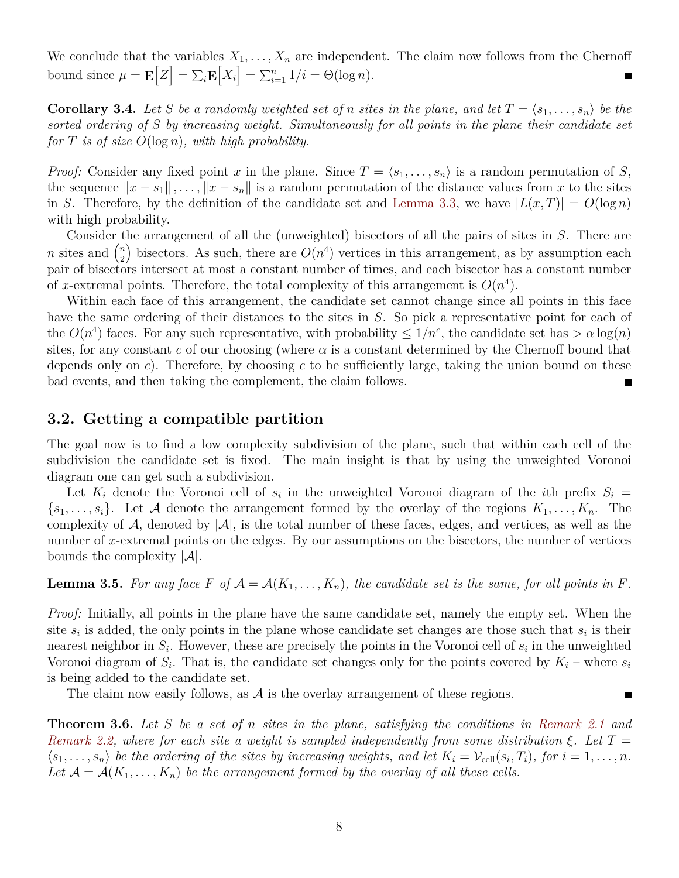We conclude that the variables  $X_1, \ldots, X_n$  are independent. The claim now follows from the Chernoff bound since  $\mu = \mathbf{E}\left[Z\right] = \sum_{i} \mathbf{E}\left[X_i\right] = \sum_{i=1}^n 1/i = \Theta(\log n)$ .

<span id="page-7-1"></span>**Corollary 3.4.** Let *S* be a randomly weighted set of *n* sites in the plane, and let  $T = \langle s_1, \ldots, s_n \rangle$  be the *sorted ordering of S by increasing weight. Simultaneously for all points in the plane their candidate set for T is of size O*(log *n*)*, with high probability.*

*Proof:* Consider any fixed point *x* in the plane. Since  $T = \langle s_1, \ldots, s_n \rangle$  is a random permutation of *S*, the sequence  $||x - s_1||, \ldots, ||x - s_n||$  is a random permutation of the distance values from *x* to the sites in *S*. Therefore, by the definition of the candidate set and [Lemma 3.3](#page-6-1), we have  $|L(x,T)| = O(\log n)$ with high probability.

Consider the arrangement of all the (unweighted) bisectors of all the pairs of sites in *S*. There are *n* sites and  $\binom{n}{2}$  $\binom{n}{2}$  bisectors. As such, there are  $O(n^4)$  vertices in this arrangement, as by assumption each pair of bisectors intersect at most a constant number of times, and each bisector has a constant number of *x*-extremal points. Therefore, the total complexity of this arrangement is  $O(n^4)$ .

Within each face of this arrangement, the candidate set cannot change since all points in this face have the same ordering of their distances to the sites in *S*. So pick a representative point for each of the  $O(n^4)$  faces. For any such representative, with probability  $\leq 1/n^c$ , the candidate set has  $> \alpha \log(n)$ sites, for any constant *c* of our choosing (where  $\alpha$  is a constant determined by the Chernoff bound that depends only on *c*). Therefore, by choosing *c* to be sufficiently large, taking the union bound on these bad events, and then taking the complement, the claim follows.

### <span id="page-7-2"></span>**3.2. Getting a compatible partition**

The goal now is to find a low complexity subdivision of the plane, such that within each cell of the subdivision the candidate set is fixed. The main insight is that by using the unweighted Voronoi diagram one can get such a subdivision.

Let  $K_i$  denote the Voronoi cell of  $s_i$  in the unweighted Voronoi diagram of the *i*th prefix  $S_i$  =  ${s_1, \ldots, s_i}$ . Let *A* denote the arrangement formed by the overlay of the regions  $K_1, \ldots, K_n$ . The complexity of A, denoted by  $|\mathcal{A}|$ , is the total number of these faces, edges, and vertices, as well as the number of *x*-extremal points on the edges. By our assumptions on the bisectors, the number of vertices bounds the complexity *|A|*.

<span id="page-7-0"></span>**Lemma 3.5.** For any face F of  $A = A(K_1, \ldots, K_n)$ , the candidate set is the same, for all points in F.

*Proof:* Initially, all points in the plane have the same candidate set, namely the empty set. When the site  $s_i$  is added, the only points in the plane whose candidate set changes are those such that  $s_i$  is their nearest neighbor in  $S_i$ . However, these are precisely the points in the Voronoi cell of  $s_i$  in the unweighted Voronoi diagram of  $S_i$ . That is, the candidate set changes only for the points covered by  $K_i$  – where  $s_i$ is being added to the candidate set.

П

The claim now easily follows, as  $\mathcal A$  is the overlay arrangement of these regions.

<span id="page-7-3"></span>**Theorem 3.6.** *Let S be a set of n sites in the plane, satisfying the conditions in [Remark 2.1](#page-4-2) and [Remark 2.2,](#page-5-3) where for each site a weight is sampled independently from some distribution ξ. Let T* =  $\langle s_1,\ldots,s_n\rangle$  be the ordering of the sites by increasing weights, and let  $K_i=\mathcal{V}_{cell}(s_i,T_i)$ , for  $i=1,\ldots,n$ . Let  $A = A(K_1, \ldots, K_n)$  be the arrangement formed by the overlay of all these cells.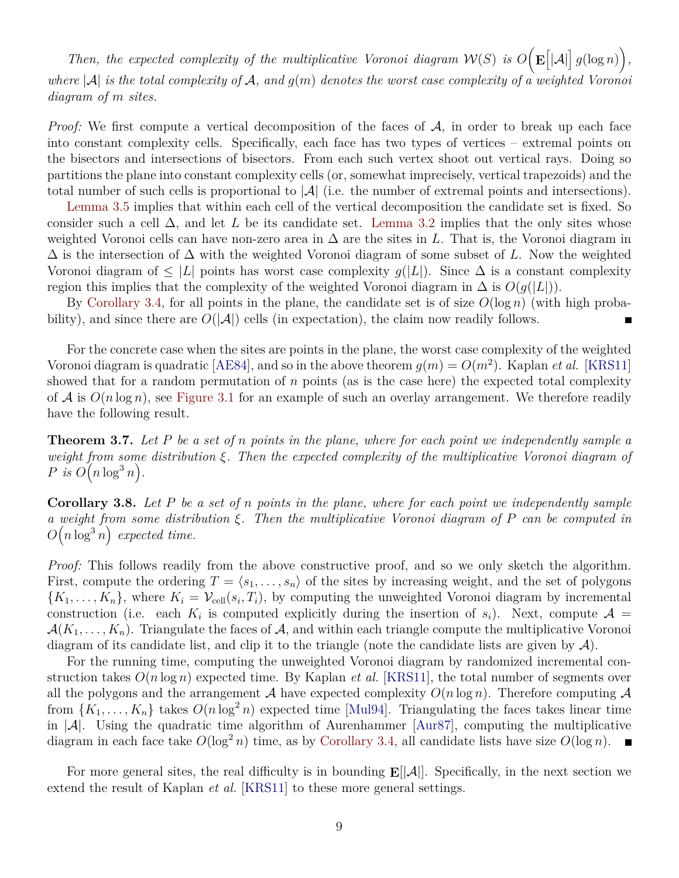*Then, the expected complexity of the multiplicative Voronoi diagram*  $W(S)$  is  $O(E[|A|]g(\log n))$ , *where |A| is the total complexity of A, and g*(*m*) *denotes the worst case complexity of a weighted Voronoi diagram of m sites.*

*Proof:* We first compute a vertical decomposition of the faces of A, in order to break up each face into constant complexity cells. Specifically, each face has two types of vertices – extremal points on the bisectors and intersections of bisectors. From each such vertex shoot out vertical rays. Doing so partitions the plane into constant complexity cells (or, somewhat imprecisely, vertical trapezoids) and the total number of such cells is proportional to *|A|* (i.e. the number of extremal points and intersections).

[Lemma 3.5](#page-7-0) implies that within each cell of the vertical decomposition the candidate set is fixed. So consider such a cell  $\Delta$ , and let *L* be its candidate set. [Lemma 3.2](#page-6-2) implies that the only sites whose weighted Voronoi cells can have non-zero area in ∆ are the sites in *L*. That is, the Voronoi diagram in ∆ is the intersection of ∆ with the weighted Voronoi diagram of some subset of *L*. Now the weighted Voronoi diagram of  $\leq |L|$  points has worst case complexity  $g(|L|)$ . Since  $\Delta$  is a constant complexity region this implies that the complexity of the weighted Voronoi diagram in  $\Delta$  is  $O(q(|L|))$ .

By [Corollary 3.4,](#page-7-1) for all points in the plane, the candidate set is of size  $O(\log n)$  (with high probability), and since there are  $O(|\mathcal{A}|)$  cells (in expectation), the claim now readily follows.

For the concrete case when the sites are points in the plane, the worst case complexity of the weighted Voronoi diagram is quadratic [\[AE84\]](#page-16-3), and so in the above theorem  $g(m) = O(m^2)$ . Kaplan *et al.* [\[KRS11](#page-17-10)] showed that for a random permutation of *n* points (as is the case here) the expected total complexity of  $A$  is  $O(n \log n)$ , see [Figure 3.1](#page-9-0) for an example of such an overlay arrangement. We therefore readily have the following result.

<span id="page-8-0"></span>**Theorem 3.7.** *Let P be a set of n points in the plane, where for each point we independently sample a weight from some distribution ξ. Then the expected complexity of the multiplicative Voronoi diagram of*  $P$  *is*  $O(n \log^3 n)$ .

**Corollary 3.8.** *Let P be a set of n points in the plane, where for each point we independently sample a weight from some distribution ξ. Then the multiplicative Voronoi diagram of P can be computed in*  $O(n \log^3 n)$  expected time.

*Proof:* This follows readily from the above constructive proof, and so we only sketch the algorithm. First, compute the ordering  $T = \langle s_1, \ldots, s_n \rangle$  of the sites by increasing weight, and the set of polygons  ${K_1, \ldots, K_n}$ , where  $K_i = \mathcal{V}_{cell}(s_i, T_i)$ , by computing the unweighted Voronoi diagram by incremental construction (i.e. each  $K_i$  is computed explicitly during the insertion of  $s_i$ ). Next, compute  $\mathcal{A} =$  $A(K_1, \ldots, K_n)$ . Triangulate the faces of A, and within each triangle compute the multiplicative Voronoi diagram of its candidate list, and clip it to the triangle (note the candidate lists are given by *A*).

For the running time, computing the unweighted Voronoi diagram by randomized incremental construction takes  $O(n \log n)$  expected time. By Kaplan *et al.* [[KRS11\]](#page-17-10), the total number of segments over all the polygons and the arrangement  $A$  have expected complexity  $O(n \log n)$ . Therefore computing  $A$ from  $\{K_1, \ldots, K_n\}$  takes  $O(n \log^2 n)$  expected time [\[Mul94\]](#page-17-13). Triangulating the faces takes linear time in *|A|*. Using the quadratic time algorithm of Aurenhammer [\[Aur87](#page-16-9)], computing the multiplicative diagram in each face take  $O(\log^2 n)$  time, as by [Corollary 3.4](#page-7-1), all candidate lists have size  $O(\log n)$ .

For more general sites, the real difficulty is in bounding **E**[*|A|*]. Specifically, in the next section we extend the result of Kaplan *et al.* [[KRS11\]](#page-17-10) to these more general settings.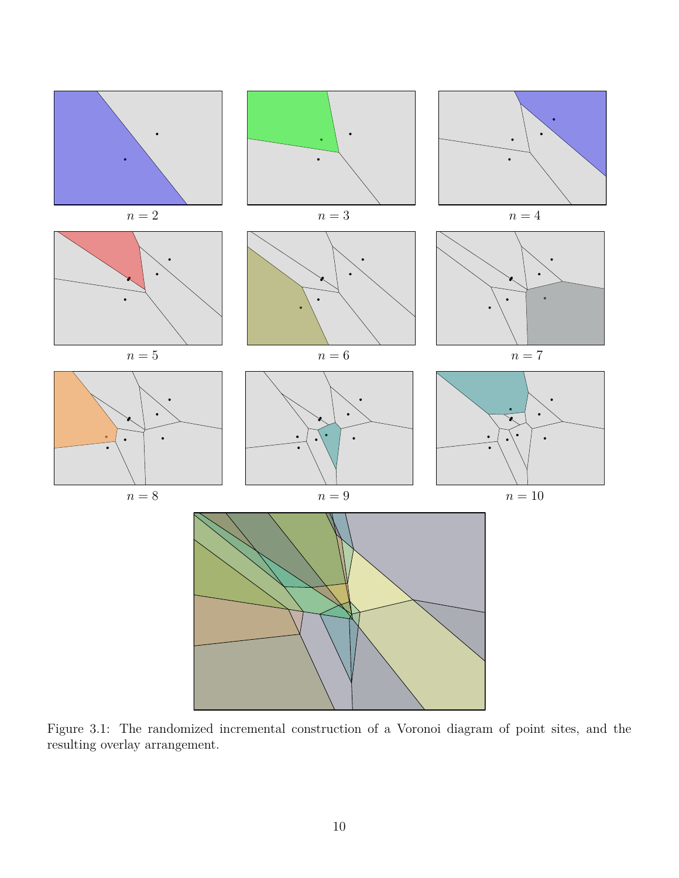<span id="page-9-0"></span>

Figure 3.1: The randomized incremental construction of a Voronoi diagram of point sites, and the resulting overlay arrangement.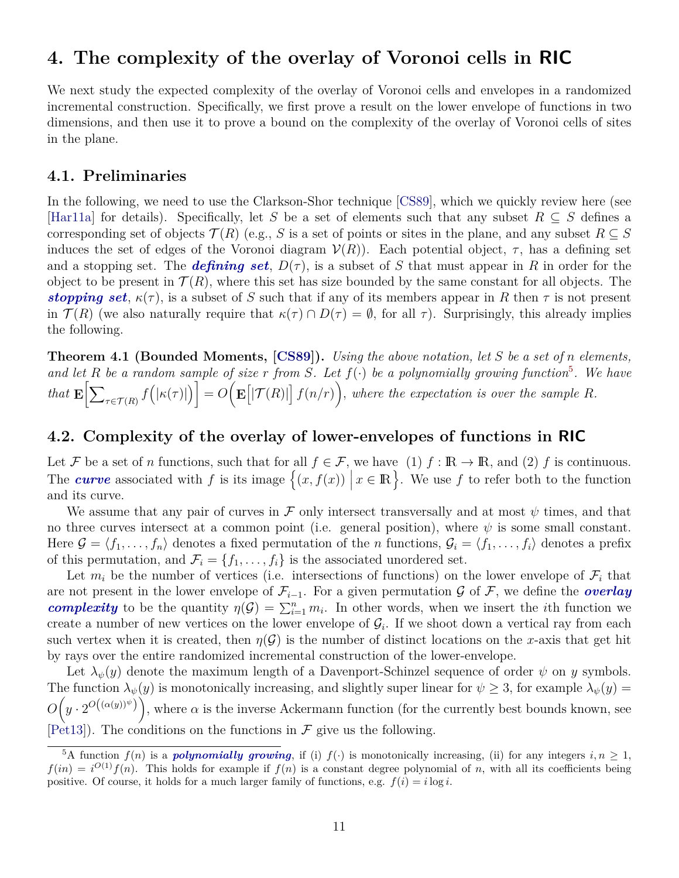## <span id="page-10-0"></span>**4. The complexity of the overlay of Voronoi cells in RIC**

We next study the expected complexity of the overlay of Voronoi cells and envelopes in a randomized incremental construction. Specifically, we first prove a result on the lower envelope of functions in two dimensions, and then use it to prove a bound on the complexity of the overlay of Voronoi cells of sites in the plane.

### <span id="page-10-3"></span>**4.1. Preliminaries**

In the following, we need to use the Clarkson-Shor technique [\[CS89](#page-16-10)], which we quickly review here (see [[Har11a\]](#page-16-8) for details). Specifically, let *S* be a set of elements such that any subset *R ⊆ S* defines a corresponding set of objects  $\mathcal{T}(R)$  (e.g., *S* is a set of points or sites in the plane, and any subset  $R \subseteq S$ induces the set of edges of the Voronoi diagram  $V(R)$ ). Each potential object,  $\tau$ , has a defining set and a stopping set. The *defining set*,  $D(\tau)$ , is a subset of *S* that must appear in *R* in order for the object to be present in  $\mathcal{T}(R)$ , where this set has size bounded by the same constant for all objects. The *stopping set*,  $\kappa(\tau)$ , is a subset of *S* such that if any of its members appear in *R* then  $\tau$  is not present in  $\mathcal{T}(R)$  (we also naturally require that  $\kappa(\tau) \cap D(\tau) = \emptyset$ , for all  $\tau$ ). Surprisingly, this already implies the following.

<span id="page-10-4"></span>**Theorem 4.1 (Bounded Moments, [[CS89](#page-16-10)]).** *Using the above notation, let S be a set of n elements,* and let R be a random sample of size  $r$  from S. Let  $f(\cdot)$  be a polynomially growing function<sup>[5](#page-10-1)</sup>. We have *that*  $\mathbf{E}$ <sup>[</sup> $\sum$  $\mathcal{L}_{\tau \in \mathcal{T}(R)} f(|\kappa(\tau)|) \Big] = O\Big(\mathbf{E}\big[|\mathcal{T}(R)|\big]\, f(n/r) \Big),$  where the expectation is over the sample R.

#### **4.2. Complexity of the overlay of lower-envelopes of functions in RIC**

Let *F* be a set of *n* functions, such that for all  $f \in \mathcal{F}$ , we have (1)  $f : \mathbb{R} \to \mathbb{R}$ , and (2)  $f$  is continuous. The *curve* associated with f is its image  $\{(x, f(x)) | x \in \mathbb{R}\}\)$ . We use f to refer both to the function and its curve.

We assume that any pair of curves in  $\mathcal F$  only intersect transversally and at most  $\psi$  times, and that no three curves intersect at a common point (i.e. general position), where  $\psi$  is some small constant. Here  $\mathcal{G} = \langle f_1, \ldots, f_n \rangle$  denotes a fixed permutation of the *n* functions,  $\mathcal{G}_i = \langle f_1, \ldots, f_i \rangle$  denotes a prefix of this permutation, and  $\mathcal{F}_i = \{f_1, \ldots, f_i\}$  is the associated unordered set.

Let  $m_i$  be the number of vertices (i.e. intersections of functions) on the lower envelope of  $\mathcal{F}_i$  that are not present in the lower envelope of  $\mathcal{F}_{i-1}$ . For a given permutation  $\mathcal G$  of  $\mathcal F$ , we define the *overlay complexity* to be the quantity  $\eta(\mathcal{G}) = \sum_{i=1}^n m_i$ . In other words, when we insert the *i*th function we create a number of new vertices on the lower envelope of  $\mathcal{G}_i$ . If we shoot down a vertical ray from each such vertex when it is created, then  $\eta(\mathcal{G})$  is the number of distinct locations on the *x*-axis that get hit by rays over the entire randomized incremental construction of the lower-envelope.

Let  $\lambda_{\psi}(y)$  denote the maximum length of a Davenport-Schinzel sequence of order  $\psi$  on *y* symbols. The function  $\lambda_{\psi}(y)$  is monotonically increasing, and slightly super linear for  $\psi \geq 3$ , for example  $\lambda_{\psi}(y) =$  $O(p \cdot 2^{O((\alpha(y))^{\psi})})$ , where  $\alpha$  is the inverse Ackermann function (for the currently best bounds known, see  $[Pet13]$  $[Pet13]$ . The conditions on the functions in  $\mathcal F$  give us the following.

<span id="page-10-2"></span><span id="page-10-1"></span> $\frac{5A}{2}$  function  $f(n)$  is a *polynomially growing*, if (i)  $f(\cdot)$  is monotonically increasing, (ii) for any integers  $i, n \geq 1$ ,  $f(in) = i^{O(1)}f(n)$ . This holds for example if  $f(n)$  is a constant degree polynomial of *n*, with all its coefficients being positive. Of course, it holds for a much larger family of functions, e.g.  $f(i) = i \log i$ .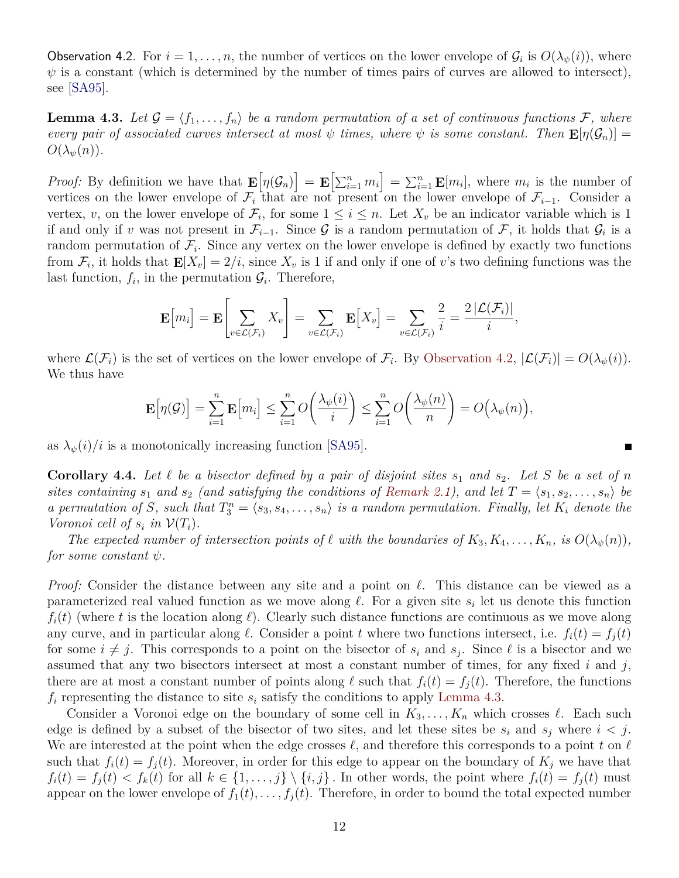Observation 4.2. For  $i = 1, \ldots, n$ , the number of vertices on the lower envelope of  $\mathcal{G}_i$  is  $O(\lambda_{\psi}(i))$ , where  $\psi$  is a constant (which is determined by the number of times pairs of curves are allowed to intersect), see [[SA95\]](#page-17-12).

<span id="page-11-0"></span>**Lemma 4.3.** Let  $\mathcal{G} = \langle f_1, \ldots, f_n \rangle$  be a random permutation of a set of continuous functions  $\mathcal{F}$ *, where every pair of associated curves intersect at most*  $\psi$  *times, where*  $\psi$  *is some constant. Then*  $\mathbf{E}[\eta(\mathcal{G}_n)] =$  $O(\lambda_{\psi}(n)).$ 

*Proof:* By definition we have that  $\mathbf{E}[\eta(\mathcal{G}_n)] = \mathbf{E}[\sum_{i=1}^n m_i] = \sum_{i=1}^n \mathbf{E}[m_i]$ , where  $m_i$  is the number of vertices on the lower envelope of  $\mathcal{F}_i$  that are not present on the lower envelope of  $\mathcal{F}_{i-1}$ . Consider a vertex, *v*, on the lower envelope of  $\mathcal{F}_i$ , for some  $1 \leq i \leq n$ . Let  $X_v$  be an indicator variable which is 1 if and only if *v* was not present in  $\mathcal{F}_{i-1}$ . Since  $\mathcal G$  is a random permutation of  $\mathcal F$ , it holds that  $\mathcal G_i$  is a random permutation of  $\mathcal{F}_i$ . Since any vertex on the lower envelope is defined by exactly two functions from  $\mathcal{F}_i$ , it holds that  $\mathbf{E}[X_v] = 2/i$ , since  $X_v$  is 1 if and only if one of *v*'s two defining functions was the last function,  $f_i$ , in the permutation  $\mathcal{G}_i$ . Therefore,

$$
\mathbf{E}\Big[m_i\Big] = \mathbf{E}\Bigg[\sum_{v \in \mathcal{L}(\mathcal{F}_i)} X_v\Bigg] = \sum_{v \in \mathcal{L}(\mathcal{F}_i)} \mathbf{E}\Big[X_v\Big] = \sum_{v \in \mathcal{L}(\mathcal{F}_i)} \frac{2}{i} = \frac{2\left|\mathcal{L}(\mathcal{F}_i)\right|}{i},
$$

where  $\mathcal{L}(\mathcal{F}_i)$  is the set of vertices on the lower envelope of  $\mathcal{F}_i$ . By [Observation 4.2,](#page-10-2)  $|\mathcal{L}(\mathcal{F}_i)| = O(\lambda_{\psi}(i)).$ We thus have

$$
\mathbf{E}\Big[\eta(\mathcal{G})\Big] = \sum_{i=1}^n \mathbf{E}\Big[m_i\Big] \le \sum_{i=1}^n O\bigg(\frac{\lambda_{\psi}(i)}{i}\bigg) \le \sum_{i=1}^n O\bigg(\frac{\lambda_{\psi}(n)}{n}\bigg) = O\big(\lambda_{\psi}(n)\big),
$$

as  $\lambda_{\psi}(i)/i$  is a monotonically increasing function [[SA95\]](#page-17-12).

<span id="page-11-1"></span>**Corollary 4.4.** Let  $\ell$  be a bisector defined by a pair of disjoint sites  $s_1$  and  $s_2$ . Let  $S$  be a set of  $n$ *sites containing*  $s_1$  *and*  $s_2$  *(and satisfying the conditions of [Remark 2.1](#page-4-2)), and let*  $T = \langle s_1, s_2, \ldots, s_n \rangle$  be *a permutation of S*, such that  $T_3^n = \langle s_3, s_4, \ldots, s_n \rangle$  *is a random permutation. Finally, let*  $K_i$  *denote the Voronoi cell of*  $s_i$  *in*  $V(T_i)$ *.* 

*The expected number of intersection points of*  $\ell$  *with the boundaries of*  $K_3, K_4, \ldots, K_n$ *, is*  $O(\lambda_{\psi}(n))$ *, for some constant ψ.*

*Proof:* Consider the distance between any site and a point on *ℓ*. This distance can be viewed as a parameterized real valued function as we move along *ℓ*. For a given site *s<sup>i</sup>* let us denote this function  $f_i(t)$  (where *t* is the location along  $\ell$ ). Clearly such distance functions are continuous as we move along any curve, and in particular along  $\ell$ . Consider a point  $t$  where two functions intersect, i.e.  $f_i(t) = f_j(t)$ for some  $i \neq j$ . This corresponds to a point on the bisector of  $s_i$  and  $s_j$ . Since  $\ell$  is a bisector and we assumed that any two bisectors intersect at most a constant number of times, for any fixed *i* and *j*, there are at most a constant number of points along  $\ell$  such that  $f_i(t) = f_i(t)$ . Therefore, the functions *f<sup>i</sup>* representing the distance to site *s<sup>i</sup>* satisfy the conditions to apply [Lemma 4.3.](#page-11-0)

Consider a Voronoi edge on the boundary of some cell in  $K_3, \ldots, K_n$  which crosses  $\ell$ . Each such edge is defined by a subset of the bisector of two sites, and let these sites be  $s_i$  and  $s_j$  where  $i < j$ . We are interested at the point when the edge crosses *ℓ*, and therefore this corresponds to a point *t* on *ℓ* such that  $f_i(t) = f_i(t)$ . Moreover, in order for this edge to appear on the boundary of  $K_i$  we have that  $f_i(t) = f_j(t) < f_k(t)$  for all  $k \in \{1, ..., j\} \setminus \{i, j\}$ . In other words, the point where  $f_i(t) = f_j(t)$  must appear on the lower envelope of  $f_1(t), \ldots, f_i(t)$ . Therefore, in order to bound the total expected number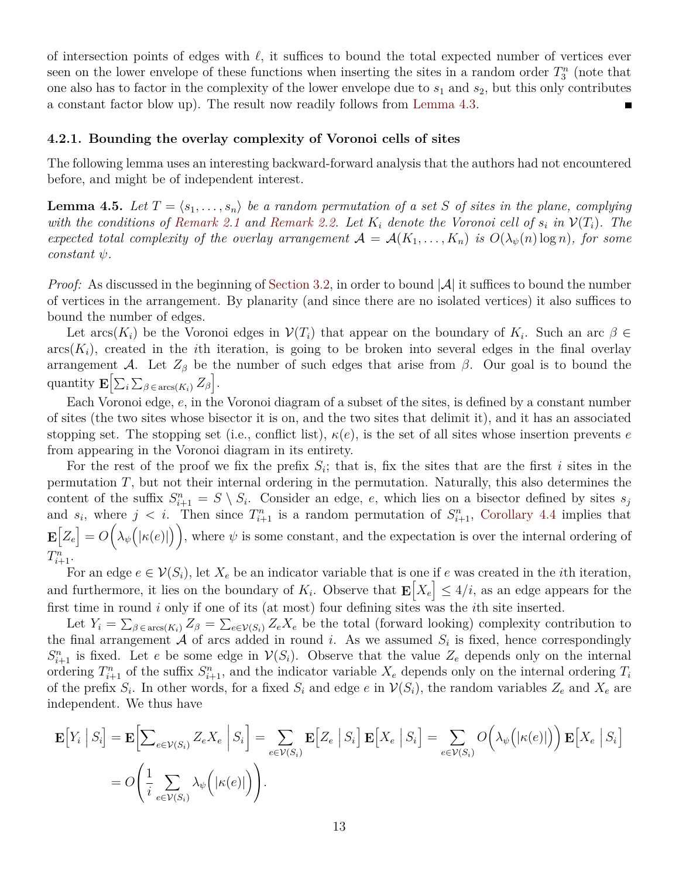of intersection points of edges with *ℓ*, it suffices to bound the total expected number of vertices ever seen on the lower envelope of these functions when inserting the sites in a random order  $T_3^n$  (note that one also has to factor in the complexity of the lower envelope due to  $s_1$  and  $s_2$ , but this only contributes a constant factor blow up). The result now readily follows from [Lemma 4.3](#page-11-0).

#### **4.2.1. Bounding the overlay complexity of Voronoi cells of sites**

The following lemma uses an interesting backward-forward analysis that the authors had not encountered before, and might be of independent interest.

<span id="page-12-0"></span>**Lemma 4.5.** Let  $T = \langle s_1, \ldots, s_n \rangle$  be a random permutation of a set *S* of sites in the plane, complying *with the conditions of [Remark 2.1](#page-4-2) and [Remark 2.2](#page-5-3). Let*  $K_i$  *denote the Voronoi cell of*  $s_i$  *in*  $V(T_i)$ *. The expected total complexity of the overlay arrangement*  $A = A(K_1, \ldots, K_n)$  *is*  $O(\lambda_v(n) \log n)$ *, for some constant ψ.*

*Proof:* As discussed in the beginning of [Section 3.2](#page-7-2), in order to bound |A| it suffices to bound the number of vertices in the arrangement. By planarity (and since there are no isolated vertices) it also suffices to bound the number of edges.

Let  $arcs(K_i)$  be the Voronoi edges in  $V(T_i)$  that appear on the boundary of  $K_i$ . Such an arc  $\beta \in$  $\arcsin(K_i)$ , created in the *i*th iteration, is going to be broken into several edges in the final overlay arrangement *A*. Let  $Z_\beta$  be the number of such edges that arise from  $\beta$ . Our goal is to bound the quantity  $\mathbf{E} \left[ \sum_i \sum_{\beta \in \text{arcs}(K_i)} Z_{\beta} \right]$ .

Each Voronoi edge, *e*, in the Voronoi diagram of a subset of the sites, is defined by a constant number of sites (the two sites whose bisector it is on, and the two sites that delimit it), and it has an associated stopping set. The stopping set (i.e., conflict list),  $\kappa(e)$ , is the set of all sites whose insertion prevents *e* from appearing in the Voronoi diagram in its entirety.

For the rest of the proof we fix the prefix  $S_i$ ; that is, fix the sites that are the first *i* sites in the permutation *T*, but not their internal ordering in the permutation. Naturally, this also determines the content of the suffix  $S_{i+1}^n = S \setminus S_i$ . Consider an edge, *e*, which lies on a bisector defined by sites  $s_j$ and  $s_i$ , where  $j < i$ . Then since  $T_{i+1}^n$  is a random permutation of  $S_{i+1}^n$ , [Corollary 4.4](#page-11-1) implies that  $\mathbf{E}[Z_e] = O(\lambda_{\psi}(|\kappa(e)|))$ , where  $\psi$  is some constant, and the expectation is over the internal ordering of  $T_{i+1}^n$ .

For an edge  $e \in V(S_i)$ , let  $X_e$  be an indicator variable that is one if  $e$  was created in the *i*th iteration, and furthermore, it lies on the boundary of  $K_i$ . Observe that  $\mathbf{E}[X_e] \leq 4/i$ , as an edge appears for the first time in round *i* only if one of its (at most) four defining sites was the *i*th site inserted.

Let  $Y_i = \sum_{\beta \in \arcs{K_i}} Z_{\beta} = \sum_{e \in V(S_i)} Z_e X_e$  be the total (forward looking) complexity contribution to the final arrangement  $A$  of arcs added in round *i*. As we assumed  $S_i$  is fixed, hence correspondingly  $S_{i+1}^n$  is fixed. Let *e* be some edge in  $V(S_i)$ . Observe that the value  $Z_e$  depends only on the internal ordering  $T_{i+1}^n$  of the suffix  $S_{i+1}^n$ , and the indicator variable  $X_e$  depends only on the internal ordering  $T_i$ of the prefix  $S_i$ . In other words, for a fixed  $S_i$  and edge  $e$  in  $\mathcal{V}(S_i)$ , the random variables  $Z_e$  and  $X_e$  are independent. We thus have

$$
\mathbf{E}\Big[Y_i\Big|S_i\Big] = \mathbf{E}\Big[\sum_{e \in \mathcal{V}(S_i)} Z_e X_e\Big|S_i\Big] = \sum_{e \in \mathcal{V}(S_i)} \mathbf{E}\Big[Z_e\Big|S_i\Big] \mathbf{E}\Big[X_e\Big|S_i\Big] = \sum_{e \in \mathcal{V}(S_i)} O\Big(\lambda_{\psi}\big(|\kappa(e)|\big)\Big) \mathbf{E}\Big[X_e\Big|S_i\Big]
$$
  
=  $O\Big(\frac{1}{i}\sum_{e \in \mathcal{V}(S_i)} \lambda_{\psi}\Big(|\kappa(e)|\Big)\Big).$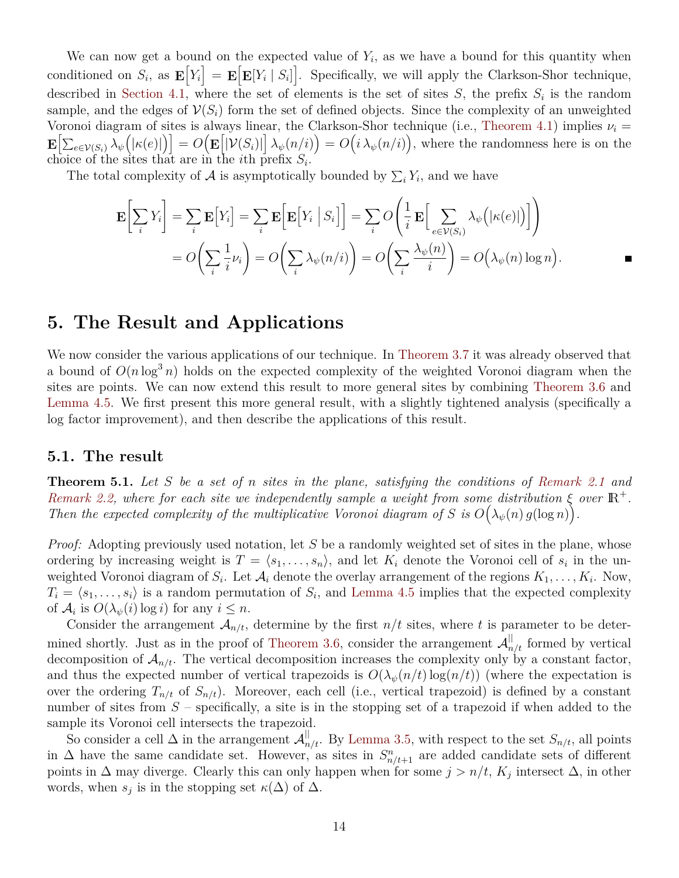We can now get a bound on the expected value of  $Y_i$ , as we have a bound for this quantity when conditioned on  $S_i$ , as  $\mathbf{E}[Y_i] = \mathbf{E}[\mathbf{E}[Y_i | S_i]]$ . Specifically, we will apply the Clarkson-Shor technique, described in [Section 4.1](#page-10-3), where the set of elements is the set of sites *S*, the prefix *S<sup>i</sup>* is the random sample, and the edges of  $\mathcal{V}(S_i)$  form the set of defined objects. Since the complexity of an unweighted Voronoi diagram of sites is always linear, the Clarkson-Shor technique (i.e., [Theorem 4.1\)](#page-10-4) implies *ν<sup>i</sup>* =  $\mathbf{E}\big[\sum_{e\in\mathcal{V}(S_i)}\lambda_\psi\big(|\kappa(e)|\big)\big]=O\big(\mathbf{E}\big[|\mathcal{V}(S_i)|\big]\,\lambda_\psi(n/i)\big)=O\big(i\,\lambda_\psi(n/i)\big),$  where the randomness here is on the choice of the sites that are in the *i*th prefix  $S_i$ .

The total complexity of  $A$  is asymptotically bounded by  $\sum_i Y_i$ , and we have

$$
\mathbf{E}\bigg[\sum_{i} Y_{i}\bigg] = \sum_{i} \mathbf{E}\big[Y_{i}\bigg] = \sum_{i} \mathbf{E}\bigg[\mathbf{E}\big[Y_{i} \mid S_{i}\big]\bigg] = \sum_{i} O\bigg(\frac{1}{i} \mathbf{E}\bigg[\sum_{e \in \mathcal{V}(S_{i})} \lambda_{\psi}\big(|\kappa(e)|\big)\bigg]\bigg)
$$

$$
= O\bigg(\sum_{i} \frac{1}{i} \nu_{i}\bigg) = O\bigg(\sum_{i} \lambda_{\psi}(n/i)\bigg) = O\bigg(\sum_{i} \frac{\lambda_{\psi}(n)}{i}\bigg) = O\bigg(\lambda_{\psi}(n) \log n\big).
$$

## <span id="page-13-0"></span>**5. The Result and Applications**

We now consider the various applications of our technique. In [Theorem 3.7](#page-8-0) it was already observed that a bound of  $O(n \log^3 n)$  holds on the expected complexity of the weighted Voronoi diagram when the sites are points. We can now extend this result to more general sites by combining [Theorem 3.6](#page-7-3) and [Lemma 4.5.](#page-12-0) We first present this more general result, with a slightly tightened analysis (specifically a log factor improvement), and then describe the applications of this result.

#### **5.1. The result**

<span id="page-13-1"></span>**Theorem 5.1.** *Let S be a set of n sites in the plane, satisfying the conditions of [Remark 2.1](#page-4-2) and [Remark 2.2,](#page-5-3)* where for each site we independently sample a weight from some distribution  $\xi$  over  $\mathbb{R}^+$ . *Then the expected complexity of the multiplicative Voronoi diagram of S* is  $O(\lambda_{\psi}(n) g(\log n))$ .

*Proof:* Adopting previously used notation, let *S* be a randomly weighted set of sites in the plane, whose ordering by increasing weight is  $T = \langle s_1, \ldots, s_n \rangle$ , and let  $K_i$  denote the Voronoi cell of  $s_i$  in the unweighted Voronoi diagram of  $S_i$ . Let  $\mathcal{A}_i$  denote the overlay arrangement of the regions  $K_1, \ldots, K_i$ . Now,  $T_i = \langle s_1, \ldots, s_i \rangle$  is a random permutation of  $S_i$ , and [Lemma 4.5](#page-12-0) implies that the expected complexity of  $\mathcal{A}_i$  is  $O(\lambda_{\psi}(i) \log i)$  for any  $i \leq n$ .

Consider the arrangement  $A_{n/t}$ , determine by the first  $n/t$  sites, where t is parameter to be deter-mined shortly. Just as in the proof of [Theorem 3.6](#page-7-3), consider the arrangement  $\mathcal{A}_{n/t}^{||}$  formed by vertical decomposition of  $A_{n/t}$ . The vertical decomposition increases the complexity only by a constant factor, and thus the expected number of vertical trapezoids is  $O(\lambda_{\psi}(n/t) \log(n/t))$  (where the expectation is over the ordering  $T_{n/t}$  of  $S_{n/t}$ ). Moreover, each cell (i.e., vertical trapezoid) is defined by a constant number of sites from  $S$  – specifically, a site is in the stopping set of a trapezoid if when added to the sample its Voronoi cell intersects the trapezoid.

So consider a cell  $\Delta$  in the arrangement  $\mathcal{A}_{n/t}^{\parallel}$ . By [Lemma 3.5,](#page-7-0) with respect to the set  $S_{n/t}$ , all points in  $\Delta$  have the same candidate set. However, as sites in  $S_{n/t+1}^n$  are added candidate sets of different points in  $\Delta$  may diverge. Clearly this can only happen when for some  $j > n/t$ ,  $K_j$  intersect  $\Delta$ , in other words, when  $s_j$  is in the stopping set  $\kappa(\Delta)$  of  $\Delta$ .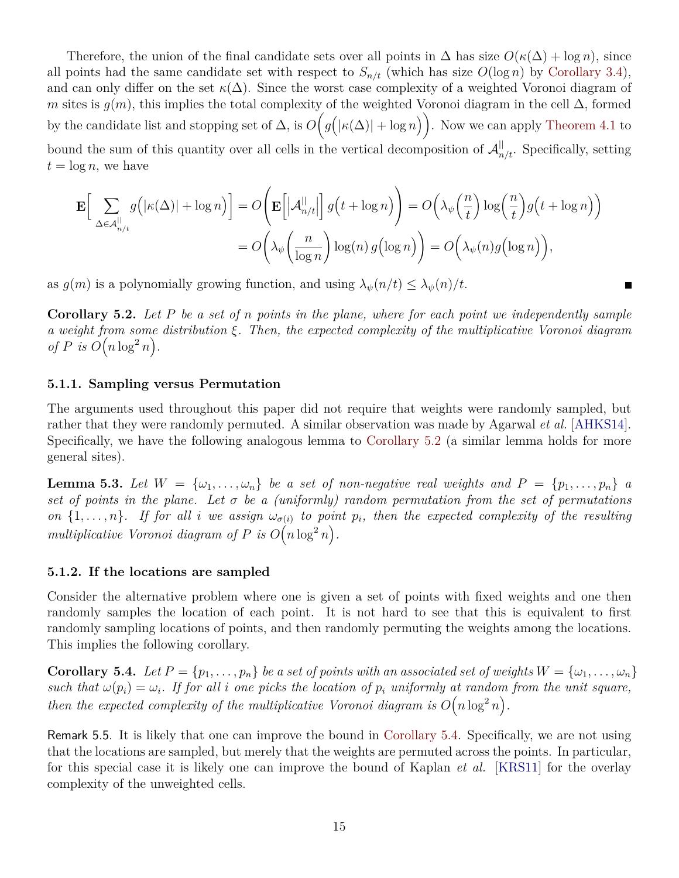Therefore, the union of the final candidate sets over all points in  $\Delta$  has size  $O(\kappa(\Delta) + \log n)$ , since all points had the same candidate set with respect to  $S_{n/t}$  (which has size  $O(\log n)$  by [Corollary 3.4\)](#page-7-1), and can only differ on the set  $\kappa(\Delta)$ . Since the worst case complexity of a weighted Voronoi diagram of *m* sites is  $q(m)$ , this implies the total complexity of the weighted Voronoi diagram in the cell  $\Delta$ , formed by the candidate list and stopping set of  $\Delta$ , is  $O(g(|\kappa(\Delta)| + \log n))$ . Now we can apply [Theorem 4.1](#page-10-4) to bound the sum of this quantity over all cells in the vertical decomposition of  $\mathcal{A}_{n/t}^{\parallel}$ . Specifically, setting  $t = \log n$ , we have

$$
\mathbf{E}\Big[\sum_{\Delta\in\mathcal{A}_{n/t}^{||}}g\big(|\kappa(\Delta)|+\log n\big)\Big]=O\Big(\mathbf{E}\Big[|\mathcal{A}_{n/t}^{||}\Big]\,g\big(t+\log n\big)\Big)=O\Big(\lambda_{\psi}\big(\frac{n}{t}\big)\log\big(\frac{n}{t}\big)g\big(t+\log n\big)\Big)
$$

$$
=O\bigg(\lambda_{\psi}\bigg(\frac{n}{\log n}\bigg)\log(n)\,g\big(\log n\big)\bigg)=O\bigg(\lambda_{\psi}(n)g\big(\log n\big)\bigg),
$$

 $\blacksquare$ 

as  $g(m)$  is a polynomially growing function, and using  $\lambda_{\psi}(n/t) \leq \lambda_{\psi}(n)/t$ .

<span id="page-14-2"></span>**Corollary 5.2.** *Let P be a set of n points in the plane, where for each point we independently sample a weight from some distribution ξ. Then, the expected complexity of the multiplicative Voronoi diagram of*  $P$  *is*  $O(n \log^2 n)$ .

#### <span id="page-14-1"></span>**5.1.1. Sampling versus Permutation**

The arguments used throughout this paper did not require that weights were randomly sampled, but rather that they were randomly permuted. A similar observation was made by Agarwal *et al.* [\[AHKS14\]](#page-16-0). Specifically, we have the following analogous lemma to [Corollary 5.2](#page-14-2) (a similar lemma holds for more general sites).

**Lemma 5.3.** Let  $W = \{\omega_1, \ldots, \omega_n\}$  be a set of non-negative real weights and  $P = \{p_1, \ldots, p_n\}$  a *set of points in the plane. Let σ be a (uniformly) random permutation from the set of permutations on*  $\{1, \ldots, n\}$ *. If for all i we assign*  $\omega_{\sigma(i)}$  *to point*  $p_i$ *, then the expected complexity of the resulting* multiplicative Voronoi diagram of  $P$  is  $O(n \log^2 n)$ .

#### <span id="page-14-0"></span>**5.1.2. If the locations are sampled**

Consider the alternative problem where one is given a set of points with fixed weights and one then randomly samples the location of each point. It is not hard to see that this is equivalent to first randomly sampling locations of points, and then randomly permuting the weights among the locations. This implies the following corollary.

<span id="page-14-3"></span>**Corollary 5.4.** Let  $P = \{p_1, \ldots, p_n\}$  be a set of points with an associated set of weights  $W = \{\omega_1, \ldots, \omega_n\}$ *such that*  $\omega(p_i) = \omega_i$ . If for all *i* one picks the location of  $p_i$  uniformly at random from the unit square, *then the expected complexity of the multiplicative Voronoi diagram is*  $O(n \log^2 n)$ .

Remark 5.5. It is likely that one can improve the bound in [Corollary 5.4.](#page-14-3) Specifically, we are not using that the locations are sampled, but merely that the weights are permuted across the points. In particular, for this special case it is likely one can improve the bound of Kaplan *et al.* [\[KRS11](#page-17-10)] for the overlay complexity of the unweighted cells.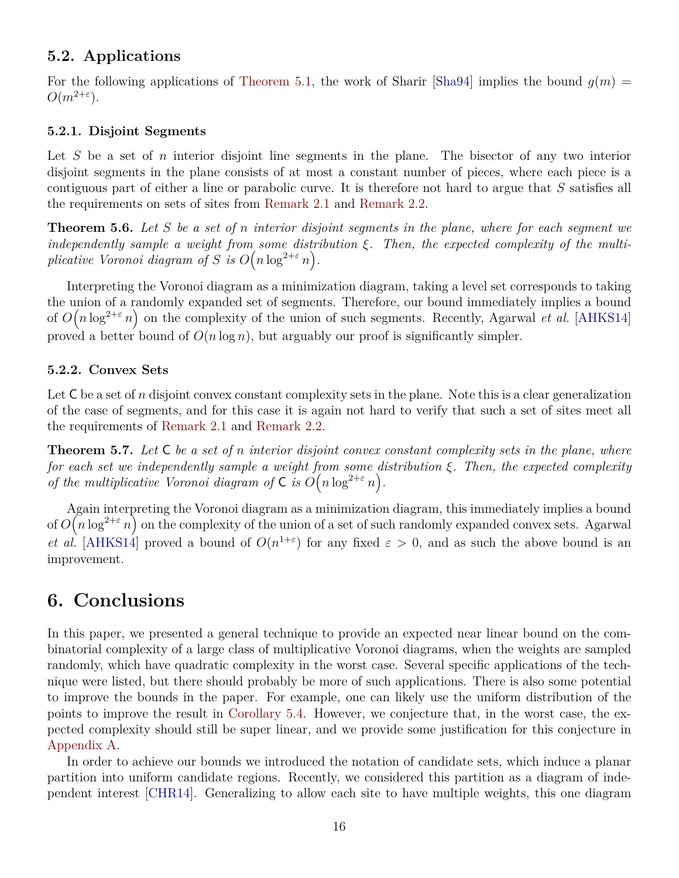### **5.2. Applications**

For the following applications of [Theorem 5.1](#page-13-1), the work of Sharir [\[Sha94\]](#page-17-15) implies the bound  $q(m)$  =  $O(m^{2+\epsilon})$ .

#### **5.2.1. Disjoint Segments**

Let *S* be a set of *n* interior disjoint line segments in the plane. The bisector of any two interior disjoint segments in the plane consists of at most a constant number of pieces, where each piece is a contiguous part of either a line or parabolic curve. It is therefore not hard to argue that *S* satisfies all the requirements on sets of sites from [Remark 2.1](#page-4-2) and [Remark 2.2](#page-5-3).

**Theorem 5.6.** *Let S be a set of n interior disjoint segments in the plane, where for each segment we independently sample a weight from some distribution ξ. Then, the expected complexity of the multiplicative Voronoi diagram of S is*  $O(n \log^{2+\varepsilon} n)$ .

Interpreting the Voronoi diagram as a minimization diagram, taking a level set corresponds to taking the union of a randomly expanded set of segments. Therefore, our bound immediately implies a bound of  $O(n \log^{2+\varepsilon} n)$  on the complexity of the union of such segments. Recently, Agarwal *et al.* [\[AHKS14](#page-16-0)] proved a better bound of  $O(n \log n)$ , but arguably our proof is significantly simpler.

#### **5.2.2. Convex Sets**

Let  $C$  be a set of *n* disjoint convex constant complexity sets in the plane. Note this is a clear generalization of the case of segments, and for this case it is again not hard to verify that such a set of sites meet all the requirements of [Remark 2.1](#page-4-2) and [Remark 2.2](#page-5-3).

**Theorem 5.7.** *Let* C *be a set of n interior disjoint convex constant complexity sets in the plane, where for each set we independently sample a weight from some distribution ξ. Then, the expected complexity of the multiplicative Voronoi diagram of*  $C$  *is*  $O(n \log^{2+\epsilon} n)$ .

Again interpreting the Voronoi diagram as a minimization diagram, this immediately implies a bound of  $O(n \log^{2+\varepsilon} n)$  on the complexity of the union of a set of such randomly expanded convex sets. Agarwal *et al.* [\[AHKS14](#page-16-0)] proved a bound of  $O(n^{1+\epsilon})$  for any fixed  $\varepsilon > 0$ , and as such the above bound is an improvement.

# **6. Conclusions**

In this paper, we presented a general technique to provide an expected near linear bound on the combinatorial complexity of a large class of multiplicative Voronoi diagrams, when the weights are sampled randomly, which have quadratic complexity in the worst case. Several specific applications of the technique were listed, but there should probably be more of such applications. There is also some potential to improve the bounds in the paper. For example, one can likely use the uniform distribution of the points to improve the result in [Corollary 5.4](#page-14-3). However, we conjecture that, in the worst case, the expected complexity should still be super linear, and we provide some justification for this conjecture in [Appendix A.](#page-17-11)

In order to achieve our bounds we introduced the notation of candidate sets, which induce a planar partition into uniform candidate regions. Recently, we considered this partition as a diagram of independent interest [[CHR14](#page-16-11)]. Generalizing to allow each site to have multiple weights, this one diagram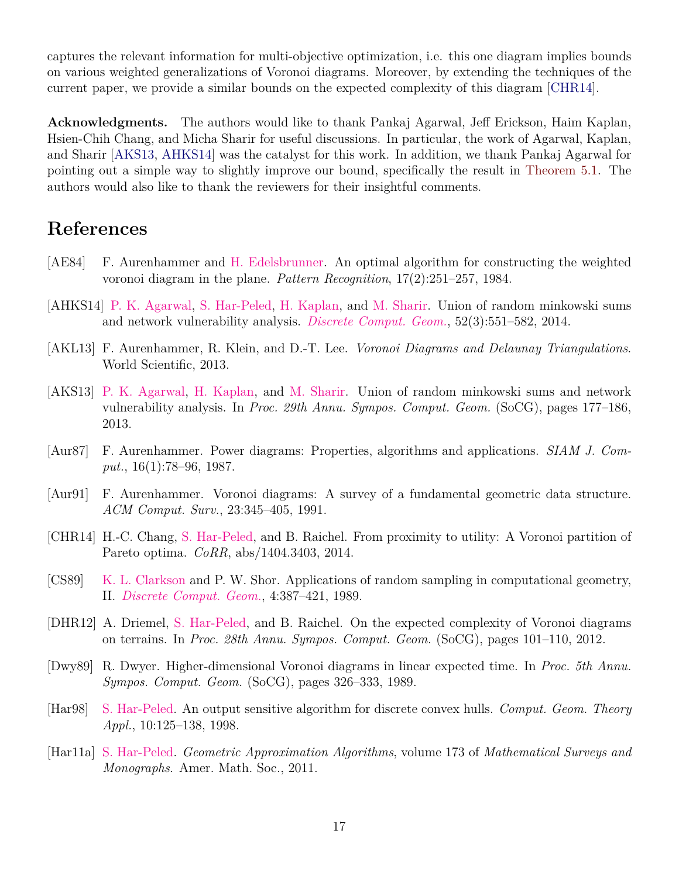captures the relevant information for multi-objective optimization, i.e. this one diagram implies bounds on various weighted generalizations of Voronoi diagrams. Moreover, by extending the techniques of the current paper, we provide a similar bounds on the expected complexity of this diagram [[CHR14](#page-16-11)].

**Acknowledgments.** The authors would like to thank Pankaj Agarwal, Jeff Erickson, Haim Kaplan, Hsien-Chih Chang, and Micha Sharir for useful discussions. In particular, the work of Agarwal, Kaplan, and Sharir [[AKS13](#page-16-4), [AHKS14\]](#page-16-0) was the catalyst for this work. In addition, we thank Pankaj Agarwal for pointing out a simple way to slightly improve our bound, specifically the result in [Theorem 5.1](#page-13-1). The authors would also like to thank the reviewers for their insightful comments.

# **References**

- <span id="page-16-3"></span>[AE84] F. Aurenhammer and [H. Edelsbrunner.](http://www.cs.duke.edu/~edels/) An optimal algorithm for constructing the weighted voronoi diagram in the plane. *Pattern Recognition*, 17(2):251–257, 1984.
- <span id="page-16-0"></span>[AHKS14] [P. K. Agarwal,](http://www.cs.duke.edu/~pankaj) [S. Har-Peled](http://sarielhp.org), [H. Kaplan,](http://www.cs.tau.ac.il/~haimk/) and [M. Sharir.](http://www.math.tau.ac.il/~michas) Union of random minkowski sums and network vulnerability analysis. *[Discrete Comput. Geom.](http://link.springer.com/journal/454)*, 52(3):551–582, 2014.
- <span id="page-16-2"></span>[AKL13] F. Aurenhammer, R. Klein, and D.-T. Lee. *Voronoi Diagrams and Delaunay Triangulations*. World Scientific, 2013.
- <span id="page-16-4"></span>[AKS13] [P. K. Agarwal,](http://www.cs.duke.edu/~pankaj) [H. Kaplan](http://www.cs.tau.ac.il/~haimk/), and [M. Sharir](http://www.math.tau.ac.il/~michas). Union of random minkowski sums and network vulnerability analysis. In *Proc. 29th Annu. Sympos. Comput. Geom.* (SoCG), pages 177–186, 2013.
- <span id="page-16-9"></span>[Aur87] F. Aurenhammer. Power diagrams: Properties, algorithms and applications. *SIAM J. Comput.*, 16(1):78–96, 1987.
- <span id="page-16-1"></span>[Aur91] F. Aurenhammer. Voronoi diagrams: A survey of a fundamental geometric data structure. *ACM Comput. Surv.*, 23:345–405, 1991.
- <span id="page-16-11"></span>[CHR14] H.-C. Chang, [S. Har-Peled](http://sarielhp.org), and B. Raichel. From proximity to utility: A Voronoi partition of Pareto optima. *CoRR*, abs/1404.3403, 2014.
- <span id="page-16-10"></span>[CS89] [K. L. Clarkson](http://cm.bell-labs.com/who/clarkson/) and P. W. Shor. Applications of random sampling in computational geometry, II. *[Discrete Comput. Geom.](http://link.springer.com/journal/454)*, 4:387–421, 1989.
- <span id="page-16-6"></span>[DHR12] A. Driemel, [S. Har-Peled](http://sarielhp.org), and B. Raichel. On the expected complexity of Voronoi diagrams on terrains. In *Proc. 28th Annu. Sympos. Comput. Geom.* (SoCG), pages 101–110, 2012.
- <span id="page-16-5"></span>[Dwy89] R. Dwyer. Higher-dimensional Voronoi diagrams in linear expected time. In *Proc. 5th Annu. Sympos. Comput. Geom.* (SoCG), pages 326–333, 1989.
- <span id="page-16-7"></span>[Har98] [S. Har-Peled](http://sarielhp.org). An output sensitive algorithm for discrete convex hulls. *Comput. Geom. Theory Appl.*, 10:125–138, 1998.
- <span id="page-16-8"></span>[Har11a] [S. Har-Peled](http://sarielhp.org). *Geometric Approximation Algorithms*, volume 173 of *Mathematical Surveys and Monographs*. Amer. Math. Soc., 2011.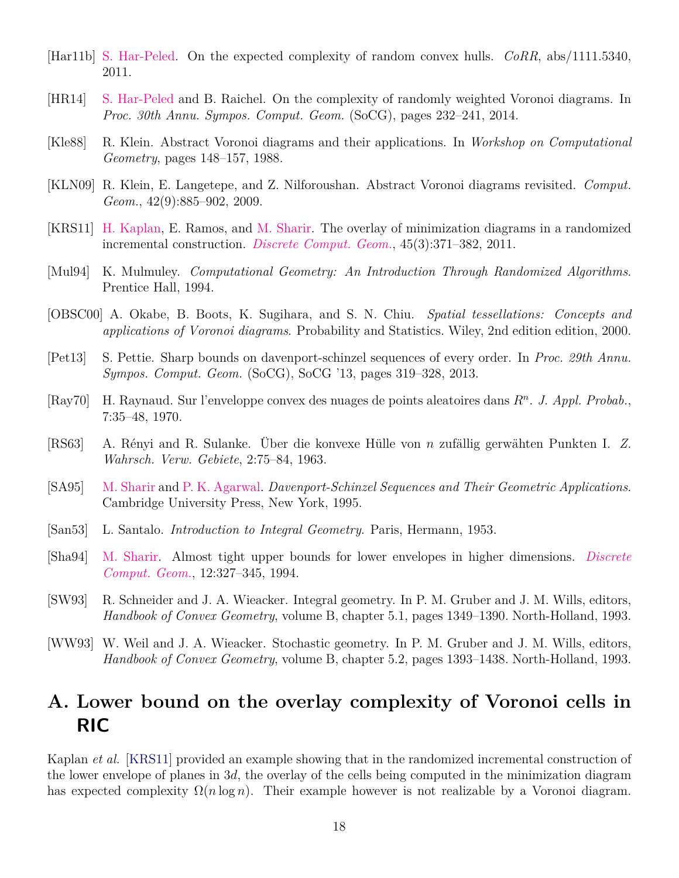- <span id="page-17-9"></span>[Har11b] [S. Har-Peled.](http://sarielhp.org) On the expected complexity of random convex hulls. *CoRR*, abs/1111.5340, 2011.
- <span id="page-17-0"></span>[HR14] [S. Har-Peled](http://sarielhp.org) and B. Raichel. On the complexity of randomly weighted Voronoi diagrams. In *Proc. 30th Annu. Sympos. Comput. Geom.* (SoCG), pages 232–241, 2014.
- <span id="page-17-1"></span>[Kle88] R. Klein. Abstract Voronoi diagrams and their applications. In *Workshop on Computational Geometry*, pages 148–157, 1988.
- <span id="page-17-2"></span>[KLN09] R. Klein, E. Langetepe, and Z. Nilforoushan. Abstract Voronoi diagrams revisited. *Comput. Geom.*, 42(9):885–902, 2009.
- <span id="page-17-10"></span>[KRS11] [H. Kaplan](http://www.cs.tau.ac.il/~haimk/), E. Ramos, and [M. Sharir.](http://www.math.tau.ac.il/~michas) The overlay of minimization diagrams in a randomized incremental construction. *[Discrete Comput. Geom.](http://link.springer.com/journal/454)*, 45(3):371–382, 2011.
- <span id="page-17-13"></span>[Mul94] K. Mulmuley. *Computational Geometry: An Introduction Through Randomized Algorithms*. Prentice Hall, 1994.
- <span id="page-17-8"></span>[OBSC00] A. Okabe, B. Boots, K. Sugihara, and S. N. Chiu. *Spatial tessellations: Concepts and applications of Voronoi diagrams*. Probability and Statistics. Wiley, 2nd edition edition, 2000.
- <span id="page-17-14"></span>[Pet13] S. Pettie. Sharp bounds on davenport-schinzel sequences of every order. In *Proc. 29th Annu. Sympos. Comput. Geom.* (SoCG), SoCG '13, pages 319–328, 2013.
- <span id="page-17-5"></span>[Ray70] H. Raynaud. Sur l'enveloppe convex des nuages de points aleatoires dans *R<sup>n</sup>* . *J. Appl. Probab.*, 7:35–48, 1970.
- <span id="page-17-4"></span>[RS63] A. Rényi and R. Sulanke. Über die konvexe Hülle von *n* zufällig gerwähten Punkten I. *Z. Wahrsch. Verw. Gebiete*, 2:75–84, 1963.
- <span id="page-17-12"></span>[SA95] [M. Sharir](http://www.math.tau.ac.il/~michas) and [P. K. Agarwal.](http://www.cs.duke.edu/~pankaj) *Davenport-Schinzel Sequences and Their Geometric Applications*. Cambridge University Press, New York, 1995.
- <span id="page-17-3"></span>[San53] L. Santalo. *Introduction to Integral Geometry*. Paris, Hermann, 1953.
- <span id="page-17-15"></span>[Sha94] [M. Sharir.](http://www.math.tau.ac.il/~michas) Almost tight upper bounds for lower envelopes in higher dimensions. *[Discrete](http://link.springer.com/journal/454) [Comput. Geom.](http://link.springer.com/journal/454)*, 12:327–345, 1994.
- <span id="page-17-7"></span>[SW93] R. Schneider and J. A. Wieacker. Integral geometry. In P. M. Gruber and J. M. Wills, editors, *Handbook of Convex Geometry*, volume B, chapter 5.1, pages 1349–1390. North-Holland, 1993.
- <span id="page-17-6"></span>[WW93] W. Weil and J. A. Wieacker. Stochastic geometry. In P. M. Gruber and J. M. Wills, editors, *Handbook of Convex Geometry*, volume B, chapter 5.2, pages 1393–1438. North-Holland, 1993.

# <span id="page-17-11"></span>**A. Lower bound on the overlay complexity of Voronoi cells in RIC**

Kaplan *et al.* [\[KRS11](#page-17-10)] provided an example showing that in the randomized incremental construction of the lower envelope of planes in 3*d*, the overlay of the cells being computed in the minimization diagram has expected complexity  $\Omega(n \log n)$ . Their example however is not realizable by a Voronoi diagram.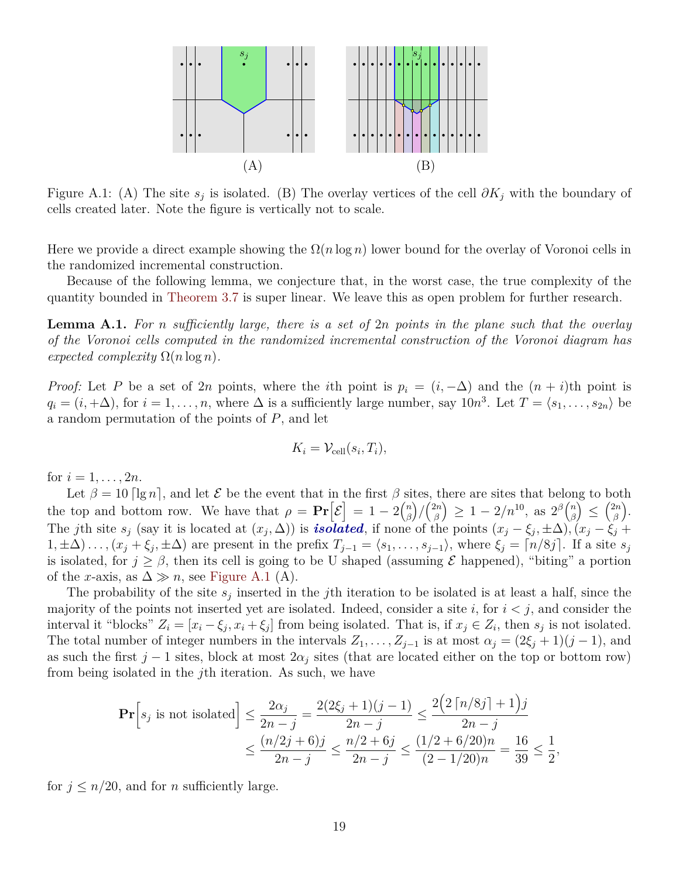<span id="page-18-0"></span>

Figure A.1: (A) The site  $s_j$  is isolated. (B) The overlay vertices of the cell  $\partial K_j$  with the boundary of cells created later. Note the figure is vertically not to scale.

Here we provide a direct example showing the  $\Omega(n \log n)$  lower bound for the overlay of Voronoi cells in the randomized incremental construction.

Because of the following lemma, we conjecture that, in the worst case, the true complexity of the quantity bounded in [Theorem 3.7](#page-8-0) is super linear. We leave this as open problem for further research.

**Lemma A.1.** *For n sufficiently large, there is a set of* 2*n points in the plane such that the overlay of the Voronoi cells computed in the randomized incremental construction of the Voronoi diagram has expected complexity*  $\Omega(n \log n)$ *.* 

*Proof:* Let *P* be a set of 2*n* points, where the *i*th point is  $p_i = (i, -\Delta)$  and the  $(n + i)$ th point is  $q_i = (i, +\Delta)$ , for  $i = 1, \ldots, n$ , where  $\Delta$  is a sufficiently large number, say  $10n^3$ . Let  $T = \langle s_1, \ldots, s_{2n} \rangle$  be a random permutation of the points of *P*, and let

$$
K_i = \mathcal{V}_{\text{cell}}(s_i, T_i),
$$

for  $i = 1, ..., 2n$ .

Let  $\beta = 10$   $\lceil \lg n \rceil$ *, and let*  $\mathcal E$  *be the event that in the first*  $\beta$  *sites, there are sites that belong to both* the top and bottom row. We have that  $\rho = \Pr[\mathcal{E}] = 1 - 2{n \choose \beta}$ *β* ) */* ( 2*n*  $\binom{2n}{\beta} \geq 1 - 2/n^{10}, \text{ as } 2^{\beta}\binom{n}{\beta}$  $\binom{n}{\beta} \leq \binom{2n}{\beta}$ *β* ) . The jth site  $s_j$  (say it is located at  $(x_j, \Delta)$ ) is **isolated**, if none of the points  $(x_j - \xi_j, \pm \Delta)$ ,  $(x_j - \xi_j + \Delta)$  $(1, \pm \Delta) \dots (x_j + \xi_j, \pm \Delta)$  are present in the prefix  $T_{j-1} = \langle s_1, \dots, s_{j-1} \rangle$ , where  $\xi_j = \lceil n/8j \rceil$ . If a site  $s_j$ is isolated, for  $j \geq \beta$ , then its cell is going to be U shaped (assuming  $\mathcal E$  happened), "biting" a portion of the *x*-axis, as  $\Delta \gg n$ , see [Figure A.1](#page-18-0) (A).

The probability of the site  $s_j$  inserted in the *j*th iteration to be isolated is at least a half, since the majority of the points not inserted yet are isolated. Indeed, consider a site  $i$ , for  $i < j$ , and consider the interval it "blocks"  $Z_i = [x_i - \xi_j, x_i + \xi_j]$  from being isolated. That is, if  $x_j \in Z_i$ , then  $s_j$  is not isolated. The total number of integer numbers in the intervals  $Z_1, \ldots, Z_{j-1}$  is at most  $\alpha_j = (2\xi_j + 1)(j-1)$ , and as such the first  $j-1$  sites, block at most  $2\alpha_j$  sites (that are located either on the top or bottom row) from being isolated in the *j*th iteration. As such, we have

$$
\mathbf{Pr}\left[s_j \text{ is not isolated}\right] \le \frac{2\alpha_j}{2n-j} = \frac{2(2\xi_j + 1)(j-1)}{2n-j} \le \frac{2\left(2\left\lceil n/8j\right\rceil + 1\right)j}{2n-j}
$$

$$
\le \frac{(n/2j+6)j}{2n-j} \le \frac{n/2+6j}{2n-j} \le \frac{(1/2+6/20)n}{(2-1/20)n} = \frac{16}{39} \le \frac{1}{2}
$$

*,*

for  $j \leq n/20$ , and for *n* sufficiently large.